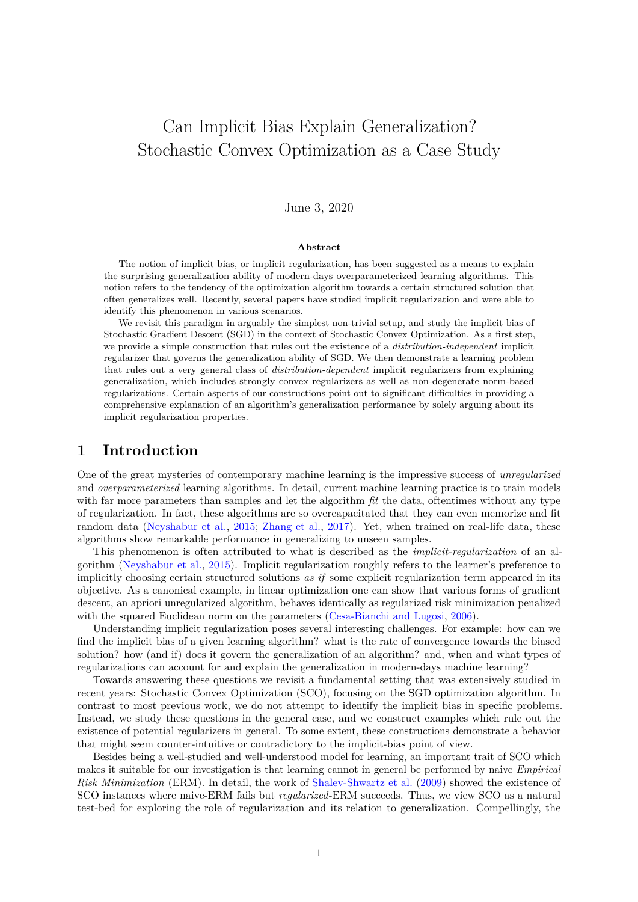# <span id="page-0-0"></span>Can Implicit Bias Explain Generalization? Stochastic Convex Optimization as a Case Study

### June 3, 2020

#### **Abstract**

The notion of implicit bias, or implicit regularization, has been suggested as a means to explain the surprising generalization ability of modern-days overparameterized learning algorithms. This notion refers to the tendency of the optimization algorithm towards a certain structured solution that often generalizes well. Recently, several papers have studied implicit regularization and were able to identify this phenomenon in various scenarios.

We revisit this paradigm in arguably the simplest non-trivial setup, and study the implicit bias of Stochastic Gradient Descent (SGD) in the context of Stochastic Convex Optimization. As a first step, we provide a simple construction that rules out the existence of a *distribution-independent* implicit regularizer that governs the generalization ability of SGD. We then demonstrate a learning problem that rules out a very general class of *distribution-dependent* implicit regularizers from explaining generalization, which includes strongly convex regularizers as well as non-degenerate norm-based regularizations. Certain aspects of our constructions point out to significant difficulties in providing a comprehensive explanation of an algorithm's generalization performance by solely arguing about its implicit regularization properties.

# **1 Introduction**

One of the great mysteries of contemporary machine learning is the impressive success of *unregularized* and *overparameterized* learning algorithms. In detail, current machine learning practice is to train models with far more parameters than samples and let the algorithm *fit* the data, oftentimes without any type of regularization. In fact, these algorithms are so overcapacitated that they can even memorize and fit random data [\(Neyshabur et al.,](#page-10-0) [2015;](#page-10-0) [Zhang et al.,](#page-10-1) [2017\)](#page-10-1). Yet, when trained on real-life data, these algorithms show remarkable performance in generalizing to unseen samples.

This phenomenon is often attributed to what is described as the *implicit-regularization* of an algorithm [\(Neyshabur et al.,](#page-10-0) [2015\)](#page-10-0). Implicit regularization roughly refers to the learner's preference to implicitly choosing certain structured solutions *as if* some explicit regularization term appeared in its objective. As a canonical example, in linear optimization one can show that various forms of gradient descent, an apriori unregularized algorithm, behaves identically as regularized risk minimization penalized with the squared Euclidean norm on the parameters [\(Cesa-Bianchi and Lugosi,](#page-10-2) [2006\)](#page-10-2).

Understanding implicit regularization poses several interesting challenges. For example: how can we find the implicit bias of a given learning algorithm? what is the rate of convergence towards the biased solution? how (and if) does it govern the generalization of an algorithm? and, when and what types of regularizations can account for and explain the generalization in modern-days machine learning?

Towards answering these questions we revisit a fundamental setting that was extensively studied in recent years: Stochastic Convex Optimization (SCO), focusing on the SGD optimization algorithm. In contrast to most previous work, we do not attempt to identify the implicit bias in specific problems. Instead, we study these questions in the general case, and we construct examples which rule out the existence of potential regularizers in general. To some extent, these constructions demonstrate a behavior that might seem counter-intuitive or contradictory to the implicit-bias point of view.

Besides being a well-studied and well-understood model for learning, an important trait of SCO which makes it suitable for our investigation is that learning cannot in general be performed by naive *Empirical Risk Minimization* (ERM). In detail, the work of [Shalev-Shwartz et al.](#page-10-3) [\(2009\)](#page-10-3) showed the existence of SCO instances where naive-ERM fails but *regularized*-ERM succeeds. Thus, we view SCO as a natural test-bed for exploring the role of regularization and its relation to generalization. Compellingly, the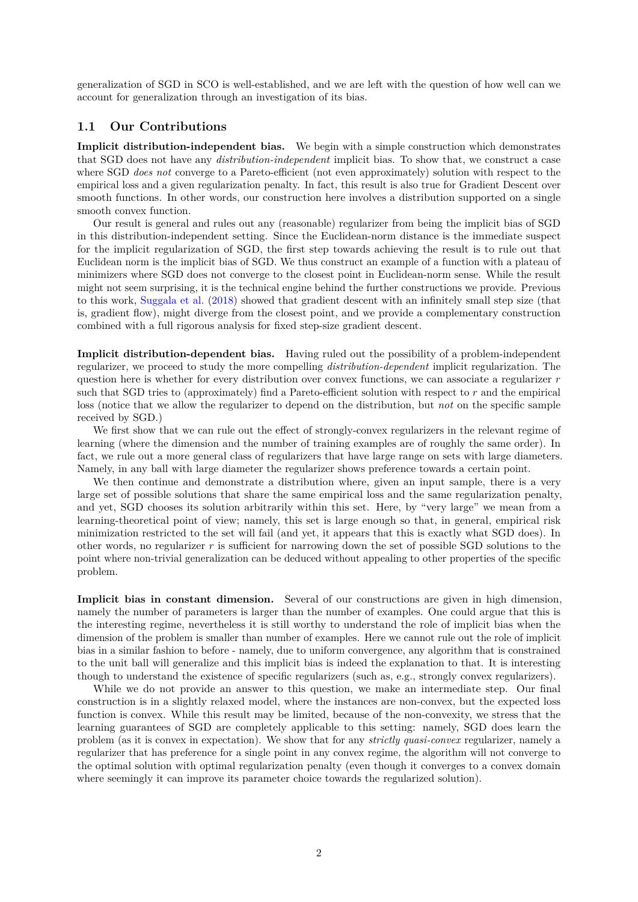<span id="page-1-0"></span>generalization of SGD in SCO is well-established, and we are left with the question of how well can we account for generalization through an investigation of its bias.

### **1.1 Our Contributions**

**Implicit distribution-independent bias.** We begin with a simple construction which demonstrates that SGD does not have any *distribution-independent* implicit bias. To show that, we construct a case where SGD *does not* converge to a Pareto-efficient (not even approximately) solution with respect to the empirical loss and a given regularization penalty. In fact, this result is also true for Gradient Descent over smooth functions. In other words, our construction here involves a distribution supported on a single smooth convex function.

Our result is general and rules out any (reasonable) regularizer from being the implicit bias of SGD in this distribution-independent setting. Since the Euclidean-norm distance is the immediate suspect for the implicit regularization of SGD, the first step towards achieving the result is to rule out that Euclidean norm is the implicit bias of SGD. We thus construct an example of a function with a plateau of minimizers where SGD does not converge to the closest point in Euclidean-norm sense. While the result might not seem surprising, it is the technical engine behind the further constructions we provide. Previous to this work, [Suggala et al.](#page-10-4) [\(2018\)](#page-10-4) showed that gradient descent with an infinitely small step size (that is, gradient flow), might diverge from the closest point, and we provide a complementary construction combined with a full rigorous analysis for fixed step-size gradient descent.

**Implicit distribution-dependent bias.** Having ruled out the possibility of a problem-independent regularizer, we proceed to study the more compelling *distribution-dependent* implicit regularization. The question here is whether for every distribution over convex functions, we can associate a regularizer *r* such that SGD tries to (approximately) find a Pareto-efficient solution with respect to *r* and the empirical loss (notice that we allow the regularizer to depend on the distribution, but *not* on the specific sample received by SGD.)

We first show that we can rule out the effect of strongly-convex regularizers in the relevant regime of learning (where the dimension and the number of training examples are of roughly the same order). In fact, we rule out a more general class of regularizers that have large range on sets with large diameters. Namely, in any ball with large diameter the regularizer shows preference towards a certain point.

We then continue and demonstrate a distribution where, given an input sample, there is a very large set of possible solutions that share the same empirical loss and the same regularization penalty, and yet, SGD chooses its solution arbitrarily within this set. Here, by "very large" we mean from a learning-theoretical point of view; namely, this set is large enough so that, in general, empirical risk minimization restricted to the set will fail (and yet, it appears that this is exactly what SGD does). In other words, no regularizer  $r$  is sufficient for narrowing down the set of possible SGD solutions to the point where non-trivial generalization can be deduced without appealing to other properties of the specific problem.

**Implicit bias in constant dimension.** Several of our constructions are given in high dimension, namely the number of parameters is larger than the number of examples. One could argue that this is the interesting regime, nevertheless it is still worthy to understand the role of implicit bias when the dimension of the problem is smaller than number of examples. Here we cannot rule out the role of implicit bias in a similar fashion to before - namely, due to uniform convergence, any algorithm that is constrained to the unit ball will generalize and this implicit bias is indeed the explanation to that. It is interesting though to understand the existence of specific regularizers (such as, e.g., strongly convex regularizers).

While we do not provide an answer to this question, we make an intermediate step. Our final construction is in a slightly relaxed model, where the instances are non-convex, but the expected loss function is convex. While this result may be limited, because of the non-convexity, we stress that the learning guarantees of SGD are completely applicable to this setting: namely, SGD does learn the problem (as it is convex in expectation). We show that for any *strictly quasi-convex* regularizer, namely a regularizer that has preference for a single point in any convex regime, the algorithm will not converge to the optimal solution with optimal regularization penalty (even though it converges to a convex domain where seemingly it can improve its parameter choice towards the regularized solution).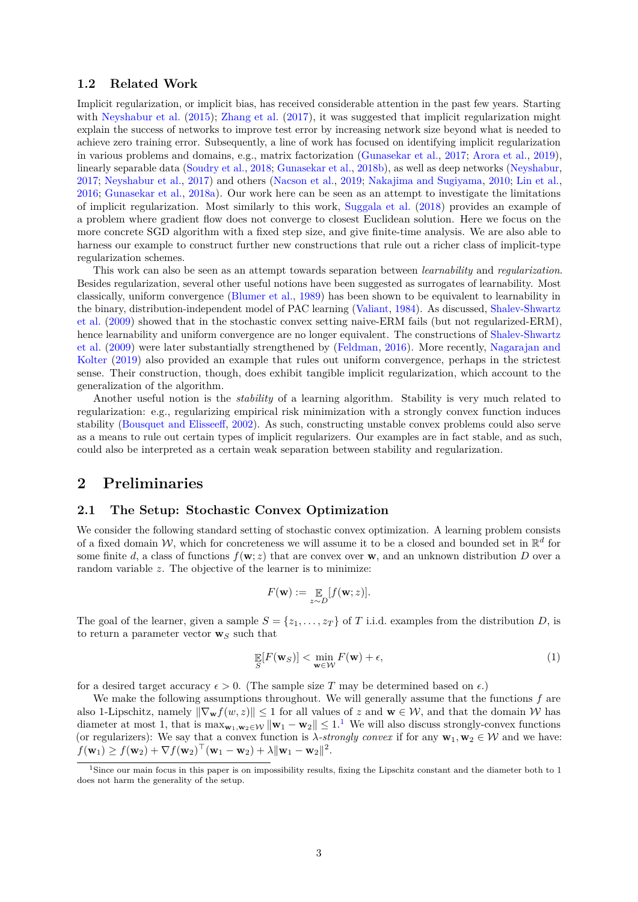#### <span id="page-2-1"></span>**1.2 Related Work**

Implicit regularization, or implicit bias, has received considerable attention in the past few years. Starting with [Neyshabur et al.](#page-10-0) [\(2015\)](#page-10-0); [Zhang et al.](#page-10-1) [\(2017\)](#page-10-1), it was suggested that implicit regularization might explain the success of networks to improve test error by increasing network size beyond what is needed to achieve zero training error. Subsequently, a line of work has focused on identifying implicit regularization in various problems and domains, e.g., matrix factorization [\(Gunasekar et al.,](#page-10-5) [2017;](#page-10-5) [Arora et al.,](#page-9-0) [2019\)](#page-9-0), linearly separable data [\(Soudry et al.,](#page-10-6) [2018;](#page-10-6) [Gunasekar et al.,](#page-10-7) [2018b\)](#page-10-7), as well as deep networks [\(Neyshabur,](#page-10-8) [2017;](#page-10-8) [Neyshabur et al.,](#page-10-9) [2017\)](#page-10-9) and others [\(Nacson et al.,](#page-10-10) [2019;](#page-10-10) [Nakajima and Sugiyama,](#page-10-11) [2010;](#page-10-11) [Lin et al.,](#page-10-12) [2016;](#page-10-12) [Gunasekar et al.,](#page-10-13) [2018a\)](#page-10-13). Our work here can be seen as an attempt to investigate the limitations of implicit regularization. Most similarly to this work, [Suggala et al.](#page-10-4) [\(2018\)](#page-10-4) provides an example of a problem where gradient flow does not converge to closest Euclidean solution. Here we focus on the more concrete SGD algorithm with a fixed step size, and give finite-time analysis. We are also able to harness our example to construct further new constructions that rule out a richer class of implicit-type regularization schemes.

This work can also be seen as an attempt towards separation between *learnability* and *regularization*. Besides regularization, several other useful notions have been suggested as surrogates of learnability. Most classically, uniform convergence [\(Blumer et al.,](#page-9-1) [1989\)](#page-9-1) has been shown to be equivalent to learnability in the binary, distribution-independent model of PAC learning [\(Valiant,](#page-10-14) [1984\)](#page-10-14). As discussed, [Shalev-Shwartz](#page-10-3) [et al.](#page-10-3) [\(2009\)](#page-10-3) showed that in the stochastic convex setting naive-ERM fails (but not regularized-ERM), hence learnability and uniform convergence are no longer equivalent. The constructions of [Shalev-Shwartz](#page-10-3) [et al.](#page-10-3) [\(2009\)](#page-10-3) were later substantially strengthened by [\(Feldman,](#page-10-15) [2016\)](#page-10-15). More recently, [Nagarajan and](#page-10-16) [Kolter](#page-10-16) [\(2019\)](#page-10-16) also provided an example that rules out uniform convergence, perhaps in the strictest sense. Their construction, though, does exhibit tangible implicit regularization, which account to the generalization of the algorithm.

Another useful notion is the *stability* of a learning algorithm. Stability is very much related to regularization: e.g., regularizing empirical risk minimization with a strongly convex function induces stability [\(Bousquet and Elisseeff,](#page-9-2) [2002\)](#page-9-2). As such, constructing unstable convex problems could also serve as a means to rule out certain types of implicit regularizers. Our examples are in fact stable, and as such, could also be interpreted as a certain weak separation between stability and regularization.

# **2 Preliminaries**

#### **2.1 The Setup: Stochastic Convex Optimization**

We consider the following standard setting of stochastic convex optimization. A learning problem consists of a fixed domain W, which for concreteness we will assume it to be a closed and bounded set in  $\mathbb{R}^d$  for some finite *d*, a class of functions  $f(\mathbf{w}; z)$  that are convex over **w**, and an unknown distribution *D* over a random variable *z*. The objective of the learner is to minimize:

$$
F(\mathbf{w}) := \mathop{\mathbb{E}}_{z \sim D} [f(\mathbf{w}; z)].
$$

The goal of the learner, given a sample  $S = \{z_1, \ldots, z_T\}$  of *T* i.i.d. examples from the distribution *D*, is to return a parameter vector  $\mathbf{w}_S$  such that

$$
\mathop{\mathbb{E}}_{S}[F(\mathbf{w}_{S})] < \min_{\mathbf{w} \in \mathcal{W}} F(\mathbf{w}) + \epsilon,\tag{1}
$$

for a desired target accuracy  $\epsilon > 0$ . (The sample size T may be determined based on  $\epsilon$ .)

We make the following assumptions throughout. We will generally assume that the functions *f* are also 1-Lipschitz, namely  $\|\nabla_{\mathbf{w}} f(w, z)\| \leq 1$  for all values of z and  $\mathbf{w} \in \mathcal{W}$ , and that the domain W has diameter at most [1](#page-2-0), that is  $\max_{\mathbf{w}_1, \mathbf{w}_2 \in \mathcal{W}} \|\mathbf{w}_1 - \mathbf{w}_2\| \leq 1$ .<sup>1</sup> We will also discuss strongly-convex functions (or regularizers): We say that a convex function is  $\lambda$ *-strongly convex* if for any  $\mathbf{w}_1, \mathbf{w}_2 \in \mathcal{W}$  and we have:  $f(\mathbf{w}_1) \ge f(\mathbf{w}_2) + \nabla f(\mathbf{w}_2)^\top (\mathbf{w}_1 - \mathbf{w}_2) + \lambda ||\mathbf{w}_1 - \mathbf{w}_2||^2.$ 

<span id="page-2-0"></span><sup>&</sup>lt;sup>1</sup>Since our main focus in this paper is on impossibility results, fixing the Lipschitz constant and the diameter both to 1 does not harm the generality of the setup.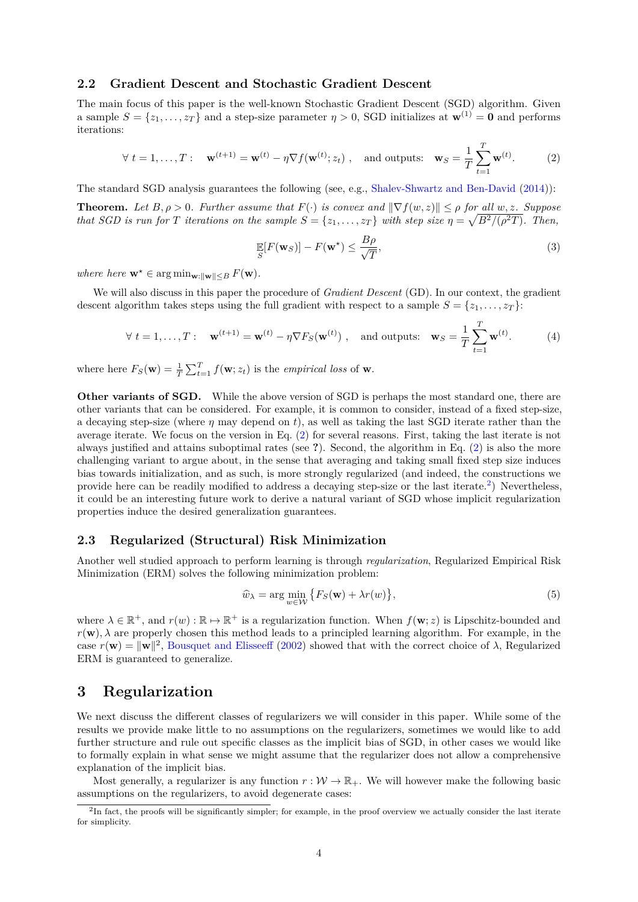#### <span id="page-3-3"></span>**2.2 Gradient Descent and Stochastic Gradient Descent**

The main focus of this paper is the well-known Stochastic Gradient Descent (SGD) algorithm. Given a sample  $S = \{z_1, \ldots, z_T\}$  and a step-size parameter  $\eta > 0$ , SGD initializes at  $\mathbf{w}^{(1)} = \mathbf{0}$  and performs iterations:

<span id="page-3-0"></span>
$$
\forall t = 1, \dots, T: \quad \mathbf{w}^{(t+1)} = \mathbf{w}^{(t)} - \eta \nabla f(\mathbf{w}^{(t)}; z_t), \quad \text{and outputs:} \quad \mathbf{w}_S = \frac{1}{T} \sum_{t=1}^T \mathbf{w}^{(t)}.
$$
 (2)

The standard SGD analysis guarantees the following (see, e.g., [Shalev-Shwartz and Ben-David](#page-10-17) [\(2014\)](#page-10-17)):

**Theorem.** Let  $B, \rho > 0$ . Further assume that  $F(\cdot)$  is convex and  $\|\nabla f(w, z)\| \leq \rho$  for all  $w, z$ *. Suppose that SGD is run for T iterations on the sample*  $S = \{z_1, \ldots, z_T\}$  *with step size*  $\eta = \sqrt{B^2/(\rho^2 T)}$ *. Then,* 

$$
\mathop{\mathbb{E}}_{S}[F(\mathbf{w}_{S})] - F(\mathbf{w}^{\star}) \le \frac{B\rho}{\sqrt{T}},\tag{3}
$$

*where*  $\mathbf{w}^* \in \arg \min_{\mathbf{w}: ||\mathbf{w}|| \leq B} F(\mathbf{w})$ *.* 

We will also discuss in this paper the procedure of *Gradient Descent* (GD). In our context, the gradient descent algorithm takes steps using the full gradient with respect to a sample  $S = \{z_1, \ldots, z_T\}$ :

$$
\forall t = 1, \dots, T: \quad \mathbf{w}^{(t+1)} = \mathbf{w}^{(t)} - \eta \nabla F_S(\mathbf{w}^{(t)}), \quad \text{and outputs:} \quad \mathbf{w}_S = \frac{1}{T} \sum_{t=1}^T \mathbf{w}^{(t)}.
$$
 (4)

where here  $F_S(\mathbf{w}) = \frac{1}{T} \sum_{t=1}^T f(\mathbf{w}; z_t)$  is the *empirical loss* of **w**.

**Other variants of SGD.** While the above version of SGD is perhaps the most standard one, there are other variants that can be considered. For example, it is common to consider, instead of a fixed step-size, a decaying step-size (where  $\eta$  may depend on t), as well as taking the last SGD iterate rather than the average iterate. We focus on the version in Eq. [\(2\)](#page-3-0) for several reasons. First, taking the last iterate is not always justified and attains suboptimal rates (see **?**). Second, the algorithm in Eq. [\(2\)](#page-3-0) is also the more challenging variant to argue about, in the sense that averaging and taking small fixed step size induces bias towards initialization, and as such, is more strongly regularized (and indeed, the constructions we provide here can be readily modified to address a decaying step-size or the last iterate.<sup>[2](#page-3-1)</sup>) Nevertheless, it could be an interesting future work to derive a natural variant of SGD whose implicit regularization properties induce the desired generalization guarantees.

### **2.3 Regularized (Structural) Risk Minimization**

Another well studied approach to perform learning is through *regularization*, Regularized Empirical Risk Minimization (ERM) solves the following minimization problem:

<span id="page-3-2"></span>
$$
\widehat{w}_{\lambda} = \arg\min_{w \in \mathcal{W}} \left\{ F_S(\mathbf{w}) + \lambda r(w) \right\},\tag{5}
$$

where  $\lambda \in \mathbb{R}^+$ , and  $r(w): \mathbb{R} \to \mathbb{R}^+$  is a regularization function. When  $f(\mathbf{w}; z)$  is Lipschitz-bounded and  $r(\mathbf{w})$ ,  $\lambda$  are properly chosen this method leads to a principled learning algorithm. For example, in the case  $r(\mathbf{w}) = ||\mathbf{w}||^2$ , [Bousquet and Elisseeff](#page-9-2) [\(2002\)](#page-9-2) showed that with the correct choice of  $\lambda$ , Regularized ERM is guaranteed to generalize.

# **3 Regularization**

We next discuss the different classes of regularizers we will consider in this paper. While some of the results we provide make little to no assumptions on the regularizers, sometimes we would like to add further structure and rule out specific classes as the implicit bias of SGD, in other cases we would like to formally explain in what sense we might assume that the regularizer does not allow a comprehensive explanation of the implicit bias.

Most generally, a regularizer is any function  $r : \mathcal{W} \to \mathbb{R}_+$ . We will however make the following basic assumptions on the regularizers, to avoid degenerate cases:

<span id="page-3-1"></span> ${}^{2}$ In fact, the proofs will be significantly simpler; for example, in the proof overview we actually consider the last iterate for simplicity.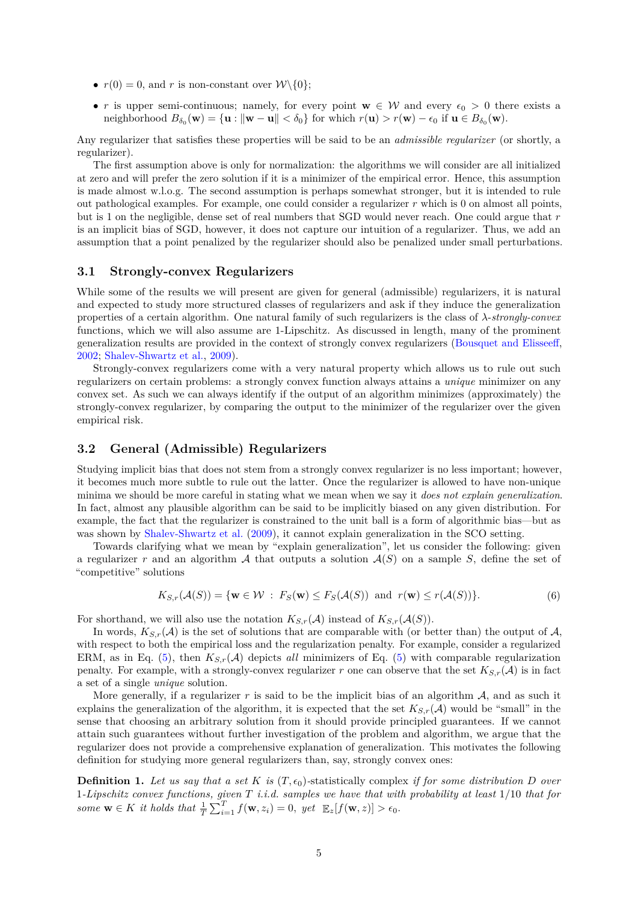- <span id="page-4-0"></span>•  $r(0) = 0$ , and *r* is non-constant over  $W \setminus \{0\};$
- *r* is upper semi-continuous; namely, for every point **w**  $\in \mathcal{W}$  and every  $\epsilon_0 > 0$  there exists a  $\text{neighborhood } B_{\delta_0}(\mathbf{w}) = \{\mathbf{u} : \|\mathbf{w} - \mathbf{u}\| < \delta_0\} \text{ for which } r(\mathbf{u}) > r(\mathbf{w}) - \epsilon_0 \text{ if } \mathbf{u} \in B_{\delta_0}(\mathbf{w}).$

Any regularizer that satisfies these properties will be said to be an *admissible regularizer* (or shortly, a regularizer).

The first assumption above is only for normalization: the algorithms we will consider are all initialized at zero and will prefer the zero solution if it is a minimizer of the empirical error. Hence, this assumption is made almost w.l.o.g. The second assumption is perhaps somewhat stronger, but it is intended to rule out pathological examples. For example, one could consider a regularizer *r* which is 0 on almost all points, but is 1 on the negligible, dense set of real numbers that SGD would never reach. One could argue that *r* is an implicit bias of SGD, however, it does not capture our intuition of a regularizer. Thus, we add an assumption that a point penalized by the regularizer should also be penalized under small perturbations.

#### **3.1 Strongly-convex Regularizers**

While some of the results we will present are given for general (admissible) regularizers, it is natural and expected to study more structured classes of regularizers and ask if they induce the generalization properties of a certain algorithm. One natural family of such regularizers is the class of *λ*-*strongly-convex* functions, which we will also assume are 1-Lipschitz. As discussed in length, many of the prominent generalization results are provided in the context of strongly convex regularizers [\(Bousquet and Elisseeff,](#page-9-2) [2002;](#page-9-2) [Shalev-Shwartz et al.,](#page-10-3) [2009\)](#page-10-3).

Strongly-convex regularizers come with a very natural property which allows us to rule out such regularizers on certain problems: a strongly convex function always attains a *unique* minimizer on any convex set. As such we can always identify if the output of an algorithm minimizes (approximately) the strongly-convex regularizer, by comparing the output to the minimizer of the regularizer over the given empirical risk.

#### **3.2 General (Admissible) Regularizers**

Studying implicit bias that does not stem from a strongly convex regularizer is no less important; however, it becomes much more subtle to rule out the latter. Once the regularizer is allowed to have non-unique minima we should be more careful in stating what we mean when we say it *does not explain generalization*. In fact, almost any plausible algorithm can be said to be implicitly biased on any given distribution. For example, the fact that the regularizer is constrained to the unit ball is a form of algorithmic bias—but as was shown by [Shalev-Shwartz et al.](#page-10-3) [\(2009\)](#page-10-3), it cannot explain generalization in the SCO setting.

Towards clarifying what we mean by "explain generalization", let us consider the following: given a regularizer r and an algorithm A that outputs a solution  $A(S)$  on a sample S, define the set of "competitive" solutions

$$
K_{S,r}(\mathcal{A}(S)) = \{ \mathbf{w} \in \mathcal{W} : F_S(\mathbf{w}) \le F_S(\mathcal{A}(S)) \text{ and } r(\mathbf{w}) \le r(\mathcal{A}(S)) \}. \tag{6}
$$

For shorthand, we will also use the notation  $K_{S,r}(\mathcal{A})$  instead of  $K_{S,r}(\mathcal{A}(S))$ .

In words,  $K_{S,r}(\mathcal{A})$  is the set of solutions that are comparable with (or better than) the output of  $\mathcal{A}$ , with respect to both the empirical loss and the regularization penalty. For example, consider a regularized ERM, as in Eq. [\(5\)](#page-3-2), then  $K_{S,r}(\mathcal{A})$  depicts all minimizers of Eq. (5) with comparable regularization penalty. For example, with a strongly-convex regularizer *r* one can observe that the set  $K_{S,r}(\mathcal{A})$  is in fact a set of a single *unique* solution.

More generally, if a regularizer  $r$  is said to be the implicit bias of an algorithm  $A$ , and as such it explains the generalization of the algorithm, it is expected that the set  $K_{S,r}(\mathcal{A})$  would be "small" in the sense that choosing an arbitrary solution from it should provide principled guarantees. If we cannot attain such guarantees without further investigation of the problem and algorithm, we argue that the regularizer does not provide a comprehensive explanation of generalization. This motivates the following definition for studying more general regularizers than, say, strongly convex ones:

**Definition 1.** Let us say that a set K is  $(T, \epsilon_0)$ -statistically complex *if for some distribution D over* 1*-Lipschitz convex functions, given T i.i.d. samples we have that with probability at least* 1*/*10 *that for some*  $\mathbf{w} \in K$  *it holds that*  $\frac{1}{T} \sum_{i=1}^{T} f(\mathbf{w}, z_i) = 0$ ,  $\text{get } \mathbb{E}_z[f(\mathbf{w}, z)] > \epsilon_0$ .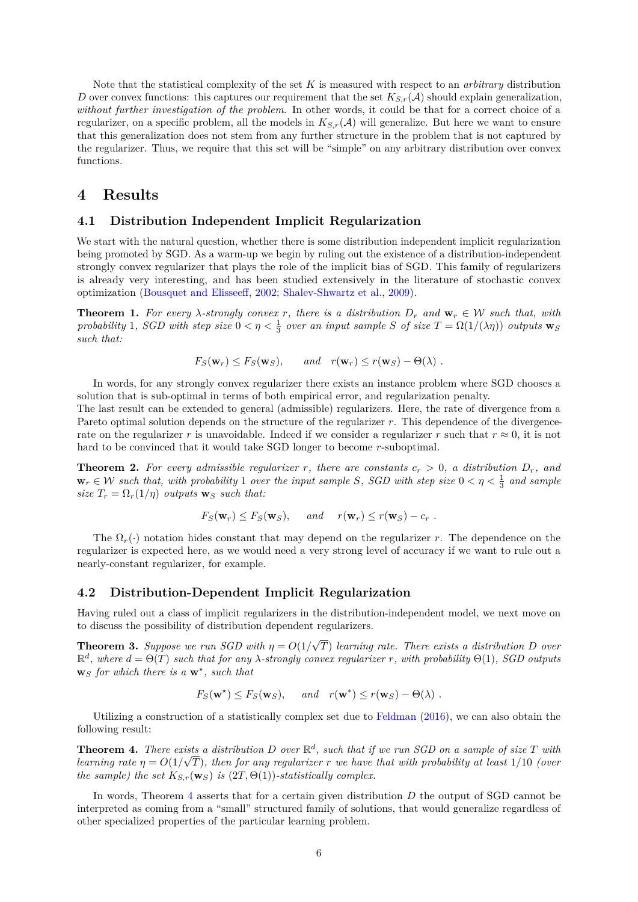<span id="page-5-4"></span>Note that the statistical complexity of the set *K* is measured with respect to an *arbitrary* distribution *D* over convex functions: this captures our requirement that the set  $K_{S,r}(\mathcal{A})$  should explain generalization, *without further investigation of the problem*. In other words, it could be that for a correct choice of a regularizer, on a specific problem, all the models in  $K_{S,r}(\mathcal{A})$  will generalize. But here we want to ensure that this generalization does not stem from any further structure in the problem that is not captured by the regularizer. Thus, we require that this set will be "simple" on any arbitrary distribution over convex functions.

# **4 Results**

#### **4.1 Distribution Independent Implicit Regularization**

We start with the natural question, whether there is some distribution independent implicit regularization being promoted by SGD. As a warm-up we begin by ruling out the existence of a distribution-independent strongly convex regularizer that plays the role of the implicit bias of SGD. This family of regularizers is already very interesting, and has been studied extensively in the literature of stochastic convex optimization [\(Bousquet and Elisseeff,](#page-9-2) [2002;](#page-9-2) [Shalev-Shwartz et al.,](#page-10-3) [2009\)](#page-10-3).

<span id="page-5-2"></span>**Theorem 1.** For every  $\lambda$ -strongly convex r, there is a distribution  $D_r$  and  $\mathbf{w}_r \in \mathcal{W}$  such that, with *probability* 1*, SGD with step size*  $0 < \eta < \frac{1}{3}$  *over an input sample S of size*  $T = \Omega(1/(\lambda \eta))$  *outputs*  $\mathbf{w}_S$ *such that:*

$$
F_S(\mathbf{w}_r) \leq F_S(\mathbf{w}_S)
$$
, and  $r(\mathbf{w}_r) \leq r(\mathbf{w}_S) - \Theta(\lambda)$ .

In words, for any strongly convex regularizer there exists an instance problem where SGD chooses a solution that is sub-optimal in terms of both empirical error, and regularization penalty.

The last result can be extended to general (admissible) regularizers. Here, the rate of divergence from a Pareto optimal solution depends on the structure of the regularizer *r*. This dependence of the divergencerate on the regularizer *r* is unavoidable. Indeed if we consider a regularizer *r* such that  $r \approx 0$ , it is not hard to be convinced that it would take SGD longer to become *r*-suboptimal.

<span id="page-5-3"></span>**Theorem 2.** For every admissible regularizer r, there are constants  $c_r > 0$ , a distribution  $D_r$ , and  $\mathbf{w}_r \in \mathcal{W}$  such that, with probability 1 over the input sample *S*, *SGD* with step size  $0 < \eta < \frac{1}{3}$  and sample *size*  $T_r = \Omega_r(1/\eta)$  *outputs*  $\mathbf{w}_S$  *such that:* 

$$
F_S(\mathbf{w}_r) \leq F_S(\mathbf{w}_S)
$$
, and  $r(\mathbf{w}_r) \leq r(\mathbf{w}_S) - c_r$ .

The  $\Omega_r(\cdot)$  notation hides constant that may depend on the regularizer *r*. The dependence on the regularizer is expected here, as we would need a very strong level of accuracy if we want to rule out a nearly-constant regularizer, for example.

### **4.2 Distribution-Dependent Implicit Regularization**

Having ruled out a class of implicit regularizers in the distribution-independent model, we next move on to discuss the possibility of distribution dependent regularizers.

<span id="page-5-1"></span>**Theorem 3.** *Suppose we run SGD with*  $\eta = O(1)$ √ *T*) *learning rate. There exists a distribution D over*  $\mathbb{R}^d$ , where  $d = Θ(T)$  such that for any *λ*-strongly convex regularizer *r*, with probability  $Θ(1)$ , *SGD* outputs **w***<sup>S</sup> for which there is a* **w***? , such that*

 $F_S(\mathbf{w}^*) \leq F_S(\mathbf{w}_S)$ , *and*  $r(\mathbf{w}^*) \leq r(\mathbf{w}_S) - \Theta(\lambda)$ .

Utilizing a construction of a statistically complex set due to [Feldman](#page-10-15) [\(2016\)](#page-10-15), we can also obtain the following result:

<span id="page-5-0"></span>**Theorem 4.** There exists a distribution D over  $\mathbb{R}^d$ , such that if we run SGD on a sample of size T with *learning rate*  $\eta = O(1/\sqrt{T})$ *, then for any regularizer*  $r$  *we have that with probability at least*  $1/10$  *(over the sample) the set*  $K_{S,r}(\mathbf{w}_S)$  *is* (2*T*,  $\Theta(1)$ )*-statistically complex.* 

In words, Theorem [4](#page-5-0) asserts that for a certain given distribution *D* the output of SGD cannot be interpreted as coming from a "small" structured family of solutions, that would generalize regardless of other specialized properties of the particular learning problem.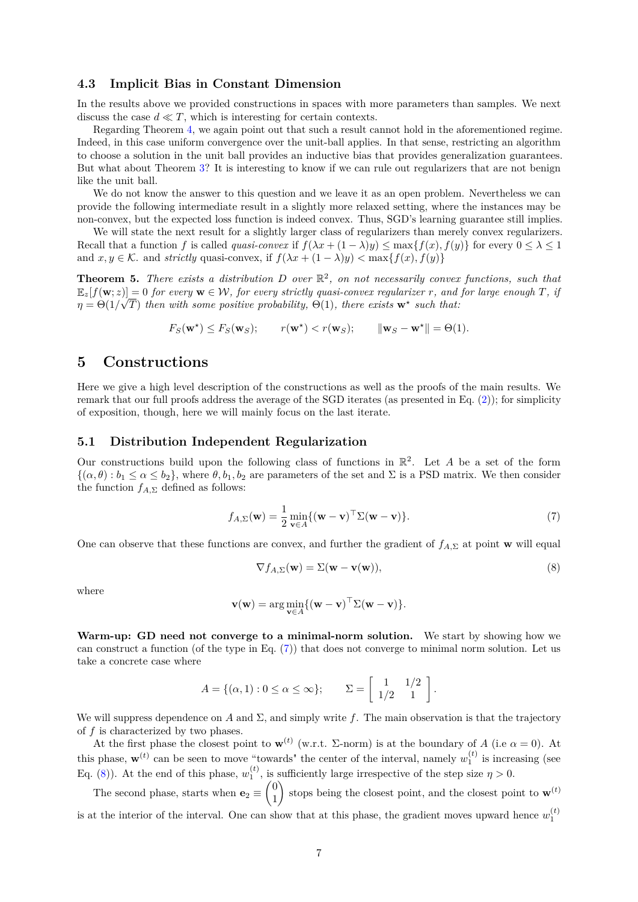#### **4.3 Implicit Bias in Constant Dimension**

In the results above we provided constructions in spaces with more parameters than samples. We next discuss the case  $d \ll T$ , which is interesting for certain contexts.

Regarding Theorem [4,](#page-5-0) we again point out that such a result cannot hold in the aforementioned regime. Indeed, in this case uniform convergence over the unit-ball applies. In that sense, restricting an algorithm to choose a solution in the unit ball provides an inductive bias that provides generalization guarantees. But what about Theorem [3?](#page-5-1) It is interesting to know if we can rule out regularizers that are not benign like the unit ball.

We do not know the answer to this question and we leave it as an open problem. Nevertheless we can provide the following intermediate result in a slightly more relaxed setting, where the instances may be non-convex, but the expected loss function is indeed convex. Thus, SGD's learning guarantee still implies.

We will state the next result for a slightly larger class of regularizers than merely convex regularizers. Recall that a function *f* is called *quasi-convex* if  $f(\lambda x + (1 - \lambda)y) \le \max\{f(x), f(y)\}\)$  for every  $0 \le \lambda \le 1$ and  $x, y \in \mathcal{K}$  and *strictly* quasi-convex, if  $f(\lambda x + (1 - \lambda)y) < \max\{f(x), f(y)\}\$ 

<span id="page-6-2"></span>**Theorem 5.** *There exists a distribution*  $D$  *over*  $\mathbb{R}^2$ , *on not necessarily convex functions, such that*  $\mathbb{E}_z[f(\mathbf{w};z)] = 0$  *for every*  $\mathbf{w} \in \mathcal{W}$ *, for every strictly quasi-convex regularizer r, and for large enough T, if*  $\eta = \Theta(1/\sqrt{T})$  *then with some positive probability,*  $\Theta(1)$ *, there exists*  $\mathbf{w}^*$  *such that:* 

$$
F_S(\mathbf{w}^*) \le F_S(\mathbf{w}_S);
$$
  $r(\mathbf{w}^*) < r(\mathbf{w}_S);$   $\|\mathbf{w}_S - \mathbf{w}^*\| = \Theta(1).$ 

# **5 Constructions**

Here we give a high level description of the constructions as well as the proofs of the main results. We remark that our full proofs address the average of the SGD iterates (as presented in Eq. [\(2\)](#page-3-0)); for simplicity of exposition, though, here we will mainly focus on the last iterate.

#### **5.1 Distribution Independent Regularization**

Our constructions build upon the following class of functions in  $\mathbb{R}^2$ . Let *A* be a set of the form  $\{(\alpha, \theta) : b_1 \leq \alpha \leq b_2\}$ , where  $\theta, b_1, b_2$  are parameters of the set and  $\Sigma$  is a PSD matrix. We then consider the function  $f_{A,\Sigma}$  defined as follows:

$$
f_{A,\Sigma}(\mathbf{w}) = \frac{1}{2} \min_{\mathbf{v} \in A} \{ (\mathbf{w} - \mathbf{v})^\top \Sigma (\mathbf{w} - \mathbf{v}) \}.
$$
 (7)

One can observe that these functions are convex, and further the gradient of *fA,*<sup>Σ</sup> at point **w** will equal

<span id="page-6-1"></span><span id="page-6-0"></span>
$$
\nabla f_{A,\Sigma}(\mathbf{w}) = \Sigma(\mathbf{w} - \mathbf{v}(\mathbf{w})),\tag{8}
$$

where

$$
\mathbf{v}(\mathbf{w}) = \arg\min_{\mathbf{v} \in A} \{ (\mathbf{w} - \mathbf{v})^{\top} \Sigma(\mathbf{w} - \mathbf{v}) \}.
$$

**Warm-up: GD need not converge to a minimal-norm solution.** We start by showing how we can construct a function (of the type in Eq. [\(7\)](#page-6-0)) that does not converge to minimal norm solution. Let us take a concrete case where

$$
A = \{(\alpha, 1) : 0 \leq \alpha \leq \infty\}; \qquad \Sigma = \left[\begin{array}{cc} 1 & 1/2 \\ 1/2 & 1 \end{array}\right].
$$

We will suppress dependence on *A* and  $\Sigma$ , and simply write *f*. The main observation is that the trajectory of *f* is characterized by two phases.

At the first phase the closest point to  $\mathbf{w}^{(t)}$  (w.r.t.  $\Sigma$ -norm) is at the boundary of *A* (i.e  $\alpha = 0$ ). At this phase,  $\mathbf{w}^{(t)}$  can be seen to move "towards" the center of the interval, namely  $w_1^{(t)}$  is increasing (see Eq. [\(8\)](#page-6-1)). At the end of this phase,  $w_1^{(t)}$ , is sufficiently large irrespective of the step size  $\eta > 0$ .

The second phase, starts when  $\mathbf{e}_2 \equiv \begin{pmatrix} 0 \\ 1 \end{pmatrix}$ 1 stops being the closest point, and the closest point to  $\mathbf{w}^{(t)}$ is at the interior of the interval. One can show that at this phase, the gradient moves upward hence  $w_1^{(t)}$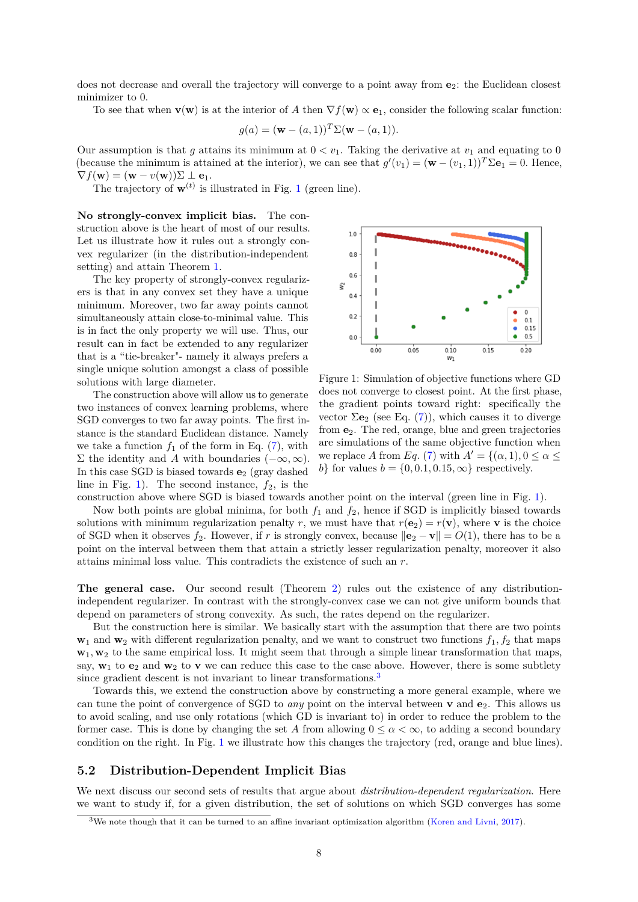<span id="page-7-2"></span>does not decrease and overall the trajectory will converge to a point away from  $e_2$ : the Euclidean closest minimizer to 0.

To see that when  $\mathbf{v}(\mathbf{w})$  is at the interior of *A* then  $\nabla f(\mathbf{w}) \propto \mathbf{e}_1$ , consider the following scalar function:

$$
g(a) = (\mathbf{w} - (a, 1))^T \Sigma(\mathbf{w} - (a, 1)).
$$

Our assumption is that *g* attains its minimum at  $0 < v_1$ . Taking the derivative at  $v_1$  and equating to 0 (because the minimum is attained at the interior), we can see that  $g'(v_1) = (\mathbf{w} - (v_1, 1))^T \Sigma \mathbf{e}_1 = 0$ . Hence,  $\nabla f(\mathbf{w}) = (\mathbf{w} - v(\mathbf{w}))\Sigma \perp \mathbf{e}_1.$ 

The trajectory of  $\mathbf{w}^{(t)}$  is illustrated in Fig. [1](#page-7-0) (green line).

**No strongly-convex implicit bias.** The construction above is the heart of most of our results. Let us illustrate how it rules out a strongly convex regularizer (in the distribution-independent setting) and attain Theorem [1.](#page-5-2)

The key property of strongly-convex regularizers is that in any convex set they have a unique minimum. Moreover, two far away points cannot simultaneously attain close-to-minimal value. This is in fact the only property we will use. Thus, our result can in fact be extended to any regularizer that is a "tie-breaker"- namely it always prefers a single unique solution amongst a class of possible solutions with large diameter.

The construction above will allow us to generate two instances of convex learning problems, where SGD converges to two far away points. The first instance is the standard Euclidean distance. Namely we take a function  $f_1$  of the form in Eq.  $(7)$ , with Σ the identity and *A* with boundaries  $(-\infty, \infty)$ . In this case SGD is biased towards **e**<sup>2</sup> (gray dashed line in Fig. [1\)](#page-7-0). The second instance,  $f_2$ , is the

<span id="page-7-0"></span>

Figure 1: Simulation of objective functions where GD does not converge to closest point. At the first phase, the gradient points toward right: specifically the vector  $\Sigma$ **e**<sub>2</sub> (see Eq. [\(7\)](#page-6-0)), which causes it to diverge from **e**2. The red, orange, blue and green trajectories are simulations of the same objective function when we replace *A* from *Eq.* [\(7\)](#page-6-0) with  $A' = \{(\alpha, 1), 0 \le \alpha \le \alpha\}$ *b*} for values  $b = \{0, 0.1, 0.15, \infty\}$  respectively.

construction above where SGD is biased towards another point on the interval (green line in Fig. [1\)](#page-7-0).

Now both points are global minima, for both  $f_1$  and  $f_2$ , hence if SGD is implicitly biased towards solutions with minimum regularization penalty *r*, we must have that  $r(\mathbf{e}_2) = r(\mathbf{v})$ , where **v** is the choice of SGD when it observes  $f_2$ . However, if *r* is strongly convex, because  $\|\mathbf{e}_2 - \mathbf{v}\| = O(1)$ , there has to be a point on the interval between them that attain a strictly lesser regularization penalty, moreover it also attains minimal loss value. This contradicts the existence of such an *r*.

**The general case.** Our second result (Theorem [2\)](#page-5-3) rules out the existence of any distributionindependent regularizer. In contrast with the strongly-convex case we can not give uniform bounds that depend on parameters of strong convexity. As such, the rates depend on the regularizer.

But the construction here is similar. We basically start with the assumption that there are two points  $\mathbf{w}_1$  and  $\mathbf{w}_2$  with different regularization penalty, and we want to construct two functions  $f_1, f_2$  that maps **w**<sub>1</sub>, **w**<sub>2</sub> to the same empirical loss. It might seem that through a simple linear transformation that maps, say,  $w_1$  to  $e_2$  and  $w_2$  to **v** we can reduce this case to the case above. However, there is some subtlety since gradient descent is not invariant to linear transformations.<sup>[3](#page-7-1)</sup>

Towards this, we extend the construction above by constructing a more general example, where we can tune the point of convergence of SGD to *any* point on the interval between **v** and **e**2. This allows us to avoid scaling, and use only rotations (which GD is invariant to) in order to reduce the problem to the former case. This is done by changing the set A from allowing  $0 \leq \alpha < \infty$ , to adding a second boundary condition on the right. In Fig. [1](#page-7-0) we illustrate how this changes the trajectory (red, orange and blue lines).

#### **5.2 Distribution-Dependent Implicit Bias**

We next discuss our second sets of results that argue about *distribution-dependent regularization*. Here we want to study if, for a given distribution, the set of solutions on which SGD converges has some

<span id="page-7-1"></span><sup>3</sup>We note though that it can be turned to an affine invariant optimization algorithm [\(Koren and Livni,](#page-10-18) [2017\)](#page-10-18).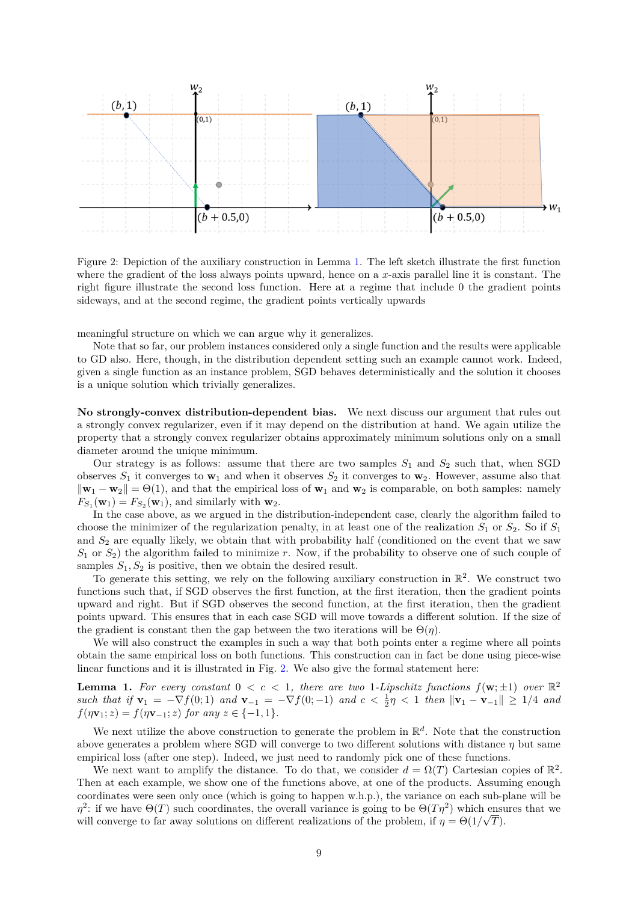<span id="page-8-1"></span>

Figure 2: Depiction of the auxiliary construction in Lemma [1.](#page-8-0) The left sketch illustrate the first function where the gradient of the loss always points upward, hence on a *x*-axis parallel line it is constant. The right figure illustrate the second loss function. Here at a regime that include 0 the gradient points sideways, and at the second regime, the gradient points vertically upwards

meaningful structure on which we can argue why it generalizes.

Note that so far, our problem instances considered only a single function and the results were applicable to GD also. Here, though, in the distribution dependent setting such an example cannot work. Indeed, given a single function as an instance problem, SGD behaves deterministically and the solution it chooses is a unique solution which trivially generalizes.

**No strongly-convex distribution-dependent bias.** We next discuss our argument that rules out a strongly convex regularizer, even if it may depend on the distribution at hand. We again utilize the property that a strongly convex regularizer obtains approximately minimum solutions only on a small diameter around the unique minimum.

Our strategy is as follows: assume that there are two samples  $S_1$  and  $S_2$  such that, when SGD observes  $S_1$  it converges to  $\mathbf{w}_1$  and when it observes  $S_2$  it converges to  $\mathbf{w}_2$ . However, assume also that  $\|\mathbf{w}_1 - \mathbf{w}_2\| = \Theta(1)$ , and that the empirical loss of  $\mathbf{w}_1$  and  $\mathbf{w}_2$  is comparable, on both samples: namely  $F_{S_1}(\mathbf{w}_1) = F_{S_2}(\mathbf{w}_1)$ , and similarly with  $\mathbf{w}_2$ .

In the case above, as we argued in the distribution-independent case, clearly the algorithm failed to choose the minimizer of the regularization penalty, in at least one of the realization  $S_1$  or  $S_2$ . So if  $S_1$ and  $S_2$  are equally likely, we obtain that with probability half (conditioned on the event that we saw *S*<sup>1</sup> or *S*2) the algorithm failed to minimize *r*. Now, if the probability to observe one of such couple of samples  $S_1, S_2$  is positive, then we obtain the desired result.

To generate this setting, we rely on the following auxiliary construction in  $\mathbb{R}^2$ . We construct two functions such that, if SGD observes the first function, at the first iteration, then the gradient points upward and right. But if SGD observes the second function, at the first iteration, then the gradient points upward. This ensures that in each case SGD will move towards a different solution. If the size of the gradient is constant then the gap between the two iterations will be  $\Theta(n)$ .

We will also construct the examples in such a way that both points enter a regime where all points obtain the same empirical loss on both functions. This construction can in fact be done using piece-wise linear functions and it is illustrated in Fig. [2.](#page-8-1) We also give the formal statement here:

<span id="page-8-0"></span>**Lemma 1.** For every constant  $0 < c < 1$ , there are two 1-Lipschitz functions  $f(\mathbf{w}; \pm 1)$  over  $\mathbb{R}^2$ *such that if* **v**<sup>1</sup> = −∇*f*(0; 1) *and* **v**<sup>−</sup><sup>1</sup> = −∇*f*(0; −1) *and c <* <sup>1</sup> 2 *η <* 1 *then* k**v**<sup>1</sup> − **v**<sup>−</sup>1k ≥ 1*/*4 *and*  $f(\eta \mathbf{v}_1; z) = f(\eta \mathbf{v}_{-1}; z)$  *for any*  $z \in \{-1, 1\}.$ 

We next utilize the above construction to generate the problem in  $\mathbb{R}^d$ . Note that the construction above generates a problem where SGD will converge to two different solutions with distance *η* but same empirical loss (after one step). Indeed, we just need to randomly pick one of these functions.

We next want to amplify the distance. To do that, we consider  $d = \Omega(T)$  Cartesian copies of  $\mathbb{R}^2$ . Then at each example, we show one of the functions above, at one of the products. Assuming enough coordinates were seen only once (which is going to happen w.h.p.), the variance on each sub-plane will be *η*<sup>2</sup>: if we have  $\Theta(T)$  such coordinates, the overall variance is going to be  $\Theta(T\eta^2)$  which ensures that we will converge to far away solutions on different realizations of the problem, if  $\eta = \Theta(1/\sqrt{T})$ .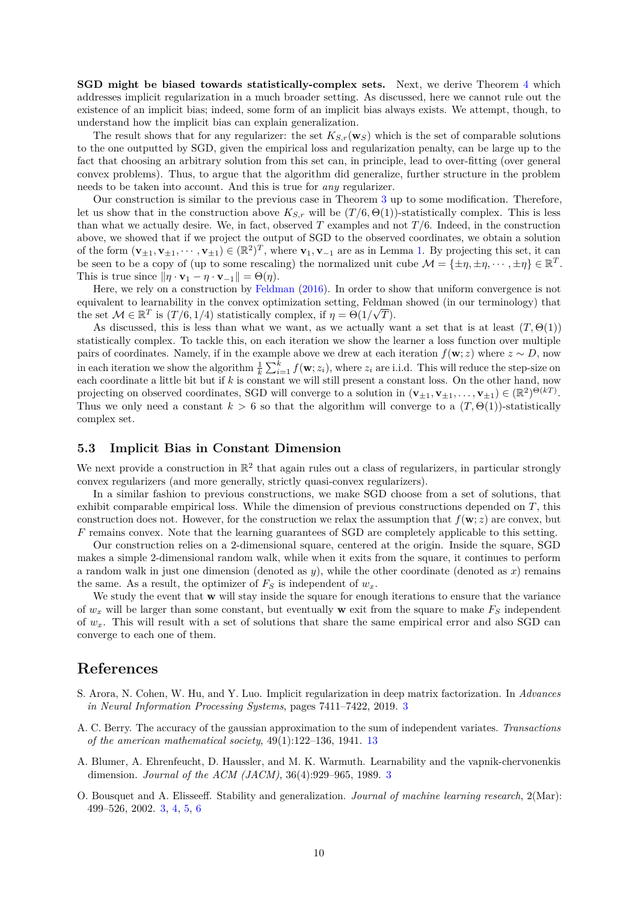<span id="page-9-3"></span>**SGD might be biased towards statistically-complex sets.** Next, we derive Theorem [4](#page-5-0) which addresses implicit regularization in a much broader setting. As discussed, here we cannot rule out the existence of an implicit bias; indeed, some form of an implicit bias always exists. We attempt, though, to understand how the implicit bias can explain generalization.

The result shows that for any regularizer: the set  $K_{S,r}(\mathbf{w}_S)$  which is the set of comparable solutions to the one outputted by SGD, given the empirical loss and regularization penalty, can be large up to the fact that choosing an arbitrary solution from this set can, in principle, lead to over-fitting (over general convex problems). Thus, to argue that the algorithm did generalize, further structure in the problem needs to be taken into account. And this is true for *any* regularizer.

Our construction is similar to the previous case in Theorem [3](#page-5-1) up to some modification. Therefore, let us show that in the construction above  $K_{S,r}$  will be  $(T/6, \Theta(1))$ -statistically complex. This is less than what we actually desire. We, in fact, observed *T* examples and not *T /*6. Indeed, in the construction above, we showed that if we project the output of SGD to the observed coordinates, we obtain a solution of the form  $(\mathbf{v}_{\pm 1}, \mathbf{v}_{\pm 1}, \cdots, \mathbf{v}_{\pm 1}) \in (\mathbb{R}^2)^T$ , where  $\mathbf{v}_1, \mathbf{v}_{-1}$  are as in Lemma [1.](#page-8-0) By projecting this set, it can be seen to be a copy of (up to some rescaling) the normalized unit cube  $\mathcal{M} = \{\pm \eta, \pm \eta, \cdots, \pm \eta\} \in \mathbb{R}^T$ . This is true since  $\|\eta \cdot \mathbf{v}_1 - \eta \cdot \mathbf{v}_{-1}\| = \Theta(\eta)$ .

Here, we rely on a construction by [Feldman](#page-10-15) [\(2016\)](#page-10-15). In order to show that uniform convergence is not equivalent to learnability in the convex optimization setting, Feldman showed (in our terminology) that the set  $\mathcal{M} \in \mathbb{R}^T$  is  $(T/6, 1/4)$  statistically complex, if  $\eta = \Theta(1/\sqrt{T})$ .

As discussed, this is less than what we want, as we actually want a set that is at least  $(T, \Theta(1))$ statistically complex. To tackle this, on each iteration we show the learner a loss function over multiple pairs of coordinates. Namely, if in the example above we drew at each iteration  $f(\mathbf{w}; z)$  where  $z \sim D$ , now in each iteration we show the algorithm  $\frac{1}{k} \sum_{i=1}^{k} f(\mathbf{w}; z_i)$ , where  $z_i$  are i.i.d. This will reduce the step-size on each coordinate a little bit but if *k* is constant we will still present a constant loss. On the other hand, now projecting on observed coordinates, SGD will converge to a solution in  $(\mathbf{v}_{\pm 1}, \mathbf{v}_{\pm 1}, \dots, \mathbf{v}_{\pm 1}) \in (\mathbb{R}^2)^{\Theta(k)}$ . Thus we only need a constant  $k > 6$  so that the algorithm will converge to a  $(T, \Theta(1))$ -statistically complex set.

#### **5.3 Implicit Bias in Constant Dimension**

We next provide a construction in  $\mathbb{R}^2$  that again rules out a class of regularizers, in particular strongly convex regularizers (and more generally, strictly quasi-convex regularizers).

In a similar fashion to previous constructions, we make SGD choose from a set of solutions, that exhibit comparable empirical loss. While the dimension of previous constructions depended on *T*, this construction does not. However, for the construction we relax the assumption that  $f(\mathbf{w}; z)$  are convex, but *F* remains convex. Note that the learning guarantees of SGD are completely applicable to this setting.

Our construction relies on a 2-dimensional square, centered at the origin. Inside the square, SGD makes a simple 2-dimensional random walk, while when it exits from the square, it continues to perform a random walk in just one dimension (denoted as *y*), while the other coordinate (denoted as *x*) remains the same. As a result, the optimizer of  $F<sub>S</sub>$  is independent of  $w<sub>x</sub>$ .

We study the event that **w** will stay inside the square for enough iterations to ensure that the variance of  $w_x$  will be larger than some constant, but eventually **w** exit from the square to make  $F_S$  independent of *wx*. This will result with a set of solutions that share the same empirical error and also SGD can converge to each one of them.

# **References**

- <span id="page-9-0"></span>S. Arora, N. Cohen, W. Hu, and Y. Luo. Implicit regularization in deep matrix factorization. In *Advances in Neural Information Processing Systems*, pages 7411–7422, 2019. [3](#page-2-1)
- <span id="page-9-4"></span>A. C. Berry. The accuracy of the gaussian approximation to the sum of independent variates. *Transactions of the american mathematical society*, 49(1):122–136, 1941. [13](#page-12-0)
- <span id="page-9-1"></span>A. Blumer, A. Ehrenfeucht, D. Haussler, and M. K. Warmuth. Learnability and the vapnik-chervonenkis dimension. *Journal of the ACM (JACM)*, 36(4):929–965, 1989. [3](#page-2-1)
- <span id="page-9-2"></span>O. Bousquet and A. Elisseeff. Stability and generalization. *Journal of machine learning research*, 2(Mar): 499–526, 2002. [3,](#page-2-1) [4,](#page-3-3) [5,](#page-4-0) [6](#page-5-4)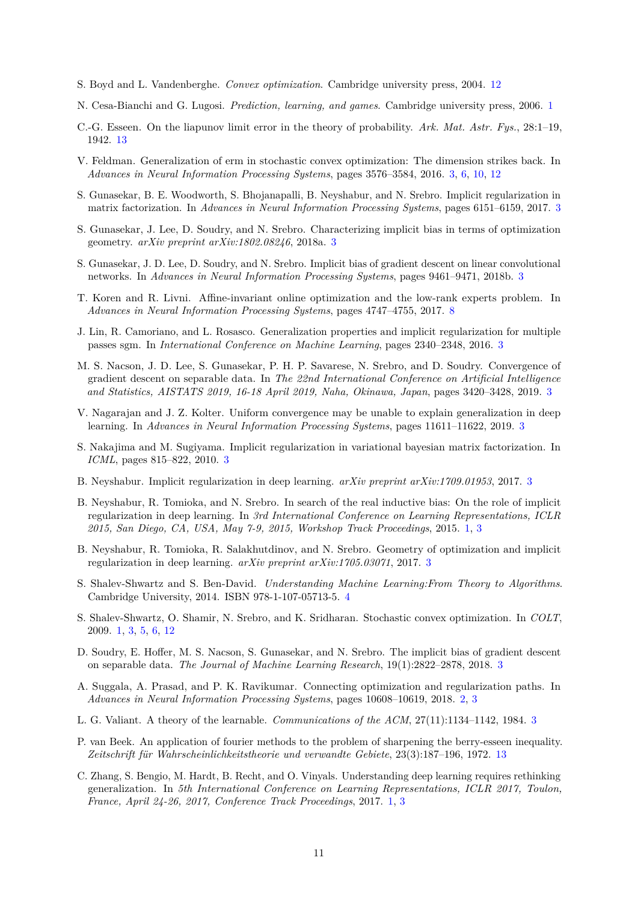- <span id="page-10-19"></span>S. Boyd and L. Vandenberghe. *Convex optimization*. Cambridge university press, 2004. [12](#page-11-0)
- <span id="page-10-2"></span>N. Cesa-Bianchi and G. Lugosi. *Prediction, learning, and games*. Cambridge university press, 2006. [1](#page-0-0)
- <span id="page-10-20"></span>C.-G. Esseen. On the liapunov limit error in the theory of probability. *Ark. Mat. Astr. Fys.*, 28:1–19, 1942. [13](#page-12-0)
- <span id="page-10-15"></span>V. Feldman. Generalization of erm in stochastic convex optimization: The dimension strikes back. In *Advances in Neural Information Processing Systems*, pages 3576–3584, 2016. [3,](#page-2-1) [6,](#page-5-4) [10,](#page-9-3) [12](#page-11-0)
- <span id="page-10-5"></span>S. Gunasekar, B. E. Woodworth, S. Bhojanapalli, B. Neyshabur, and N. Srebro. Implicit regularization in matrix factorization. In *Advances in Neural Information Processing Systems*, pages 6151–6159, 2017. [3](#page-2-1)
- <span id="page-10-13"></span>S. Gunasekar, J. Lee, D. Soudry, and N. Srebro. Characterizing implicit bias in terms of optimization geometry. *arXiv preprint arXiv:1802.08246*, 2018a. [3](#page-2-1)
- <span id="page-10-7"></span>S. Gunasekar, J. D. Lee, D. Soudry, and N. Srebro. Implicit bias of gradient descent on linear convolutional networks. In *Advances in Neural Information Processing Systems*, pages 9461–9471, 2018b. [3](#page-2-1)
- <span id="page-10-18"></span>T. Koren and R. Livni. Affine-invariant online optimization and the low-rank experts problem. In *Advances in Neural Information Processing Systems*, pages 4747–4755, 2017. [8](#page-7-2)
- <span id="page-10-12"></span>J. Lin, R. Camoriano, and L. Rosasco. Generalization properties and implicit regularization for multiple passes sgm. In *International Conference on Machine Learning*, pages 2340–2348, 2016. [3](#page-2-1)
- <span id="page-10-10"></span>M. S. Nacson, J. D. Lee, S. Gunasekar, P. H. P. Savarese, N. Srebro, and D. Soudry. Convergence of gradient descent on separable data. In *The 22nd International Conference on Artificial Intelligence and Statistics, AISTATS 2019, 16-18 April 2019, Naha, Okinawa, Japan*, pages 3420–3428, 2019. [3](#page-2-1)
- <span id="page-10-16"></span>V. Nagarajan and J. Z. Kolter. Uniform convergence may be unable to explain generalization in deep learning. In *Advances in Neural Information Processing Systems*, pages 11611–11622, 2019. [3](#page-2-1)
- <span id="page-10-11"></span>S. Nakajima and M. Sugiyama. Implicit regularization in variational bayesian matrix factorization. In *ICML*, pages 815–822, 2010. [3](#page-2-1)
- <span id="page-10-8"></span>B. Neyshabur. Implicit regularization in deep learning. *arXiv preprint arXiv:1709.01953*, 2017. [3](#page-2-1)
- <span id="page-10-0"></span>B. Neyshabur, R. Tomioka, and N. Srebro. In search of the real inductive bias: On the role of implicit regularization in deep learning. In *3rd International Conference on Learning Representations, ICLR 2015, San Diego, CA, USA, May 7-9, 2015, Workshop Track Proceedings*, 2015. [1,](#page-0-0) [3](#page-2-1)
- <span id="page-10-9"></span>B. Neyshabur, R. Tomioka, R. Salakhutdinov, and N. Srebro. Geometry of optimization and implicit regularization in deep learning. *arXiv preprint arXiv:1705.03071*, 2017. [3](#page-2-1)
- <span id="page-10-17"></span>S. Shalev-Shwartz and S. Ben-David. *Understanding Machine Learning:From Theory to Algorithms*. Cambridge University, 2014. ISBN 978-1-107-05713-5. [4](#page-3-3)
- <span id="page-10-3"></span>S. Shalev-Shwartz, O. Shamir, N. Srebro, and K. Sridharan. Stochastic convex optimization. In *COLT*, 2009. [1,](#page-0-0) [3,](#page-2-1) [5,](#page-4-0) [6,](#page-5-4) [12](#page-11-0)
- <span id="page-10-6"></span>D. Soudry, E. Hoffer, M. S. Nacson, S. Gunasekar, and N. Srebro. The implicit bias of gradient descent on separable data. *The Journal of Machine Learning Research*, 19(1):2822–2878, 2018. [3](#page-2-1)
- <span id="page-10-4"></span>A. Suggala, A. Prasad, and P. K. Ravikumar. Connecting optimization and regularization paths. In *Advances in Neural Information Processing Systems*, pages 10608–10619, 2018. [2,](#page-1-0) [3](#page-2-1)
- <span id="page-10-14"></span>L. G. Valiant. A theory of the learnable. *Communications of the ACM*, 27(11):1134–1142, 1984. [3](#page-2-1)
- <span id="page-10-21"></span>P. van Beek. An application of fourier methods to the problem of sharpening the berry-esseen inequality. *Zeitschrift für Wahrscheinlichkeitstheorie und verwandte Gebiete*, 23(3):187–196, 1972. [13](#page-12-0)
- <span id="page-10-1"></span>C. Zhang, S. Bengio, M. Hardt, B. Recht, and O. Vinyals. Understanding deep learning requires rethinking generalization. In *5th International Conference on Learning Representations, ICLR 2017, Toulon, France, April 24-26, 2017, Conference Track Proceedings*, 2017. [1,](#page-0-0) [3](#page-2-1)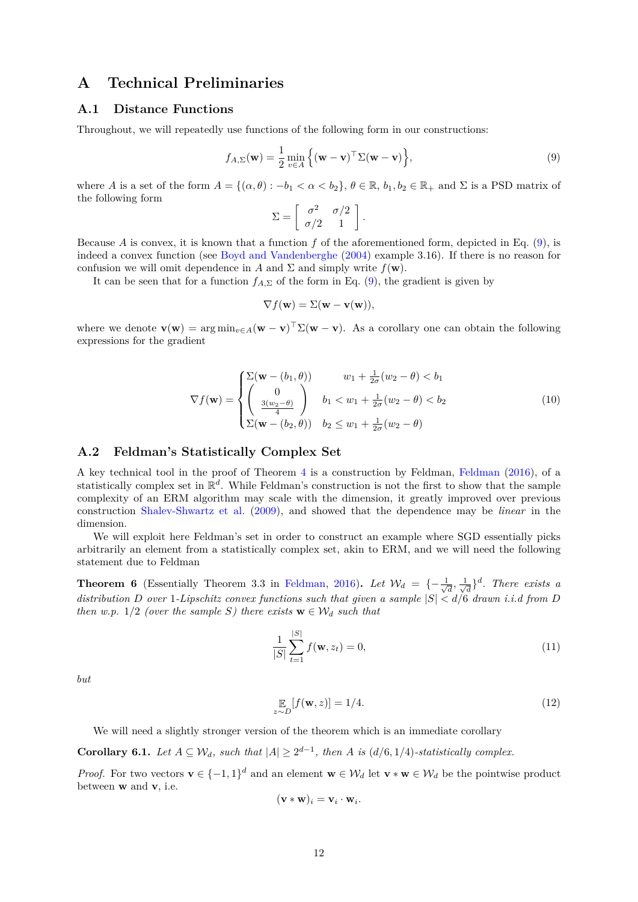# <span id="page-11-0"></span>**A Technical Preliminaries**

# **A.1 Distance Functions**

Throughout, we will repeatedly use functions of the following form in our constructions:

$$
f_{A,\Sigma}(\mathbf{w}) = \frac{1}{2} \min_{v \in A} \left\{ (\mathbf{w} - \mathbf{v})^\top \Sigma (\mathbf{w} - \mathbf{v}) \right\},\tag{9}
$$

where *A* is a set of the form  $A = \{(\alpha, \theta) : -b_1 < \alpha < b_2\}$ ,  $\theta \in \mathbb{R}$ ,  $b_1, b_2 \in \mathbb{R}_+$  and  $\Sigma$  is a PSD matrix of the following form

<span id="page-11-1"></span>
$$
\Sigma = \left[ \begin{array}{cc} \sigma^2 & \sigma/2 \\ \sigma/2 & 1 \end{array} \right].
$$

Because *A* is convex, it is known that a function *f* of the aforementioned form, depicted in Eq. [\(9\)](#page-11-1), is indeed a convex function (see [Boyd and Vandenberghe](#page-10-19) [\(2004\)](#page-10-19) example 3.16). If there is no reason for confusion we will omit dependence in *A* and  $\Sigma$  and simply write  $f(\mathbf{w})$ .

It can be seen that for a function  $f_{A,\Sigma}$  of the form in Eq. [\(9\)](#page-11-1), the gradient is given by

<span id="page-11-3"></span>
$$
\nabla f(\mathbf{w}) = \Sigma(\mathbf{w} - \mathbf{v}(\mathbf{w})),
$$

where we denote  $\mathbf{v}(\mathbf{w}) = \arg \min_{v \in A} (\mathbf{w} - \mathbf{v})^\top \Sigma(\mathbf{w} - \mathbf{v})$ . As a corollary one can obtain the following expressions for the gradient

$$
\nabla f(\mathbf{w}) = \begin{cases} \sum(\mathbf{w} - (b_1, \theta)) & w_1 + \frac{1}{2\sigma}(w_2 - \theta) < b_1 \\ \begin{pmatrix} 0 \\ \frac{3(w_2 - \theta)}{4} \end{pmatrix} & b_1 < w_1 + \frac{1}{2\sigma}(w_2 - \theta) < b_2 \\ \sum(\mathbf{w} - (b_2, \theta)) & b_2 \le w_1 + \frac{1}{2\sigma}(w_2 - \theta) \end{cases}
$$
(10)

#### **A.2 Feldman's Statistically Complex Set**

A key technical tool in the proof of Theorem [4](#page-5-0) is a construction by Feldman, [Feldman](#page-10-15) [\(2016\)](#page-10-15), of a statistically complex set in R *d* . While Feldman's construction is not the first to show that the sample complexity of an ERM algorithm may scale with the dimension, it greatly improved over previous construction [Shalev-Shwartz et al.](#page-10-3) [\(2009\)](#page-10-3), and showed that the dependence may be *linear* in the dimension.

We will exploit here Feldman's set in order to construct an example where SGD essentially picks arbitrarily an element from a statistically complex set, akin to ERM, and we will need the following statement due to Feldman

<span id="page-11-2"></span>**Theorem 6** (Essentially Theorem 3.3 in [Feldman,](#page-10-15) [2016\)](#page-10-15). Let  $\mathcal{W}_d = \{-\frac{1}{\sqrt{2}}\}$  $\frac{1}{d}$ ,  $\frac{1}{\sqrt{ }}$  $\frac{d}{dt}$ <sup>3</sup>. There exists a distribution *D* over 1-Lipschitz convex functions such that given a sample  $|S| < d/6$  drawn *i.i.d from D then w.p.* 1/2 *(over the sample S) there exists*  $\mathbf{w} \in \mathcal{W}_d$  *such that* 

$$
\frac{1}{|S|} \sum_{t=1}^{|S|} f(\mathbf{w}, z_t) = 0,
$$
\n(11)

*but*

$$
\mathop{\mathbb{E}}_{z \sim D} [f(\mathbf{w}, z)] = 1/4. \tag{12}
$$

We will need a slightly stronger version of the theorem which is an immediate corollary

<span id="page-11-4"></span>**Corollary 6.1.** *Let*  $A \subseteq W_d$ *, such that*  $|A| \geq 2^{d-1}$ *, then A is* ( $d/6, 1/4$ )*-statistically complex.* 

*Proof.* For two vectors  $\mathbf{v} \in \{-1, 1\}^d$  and an element  $\mathbf{w} \in \mathcal{W}_d$  let  $\mathbf{v} * \mathbf{w} \in \mathcal{W}_d$  be the pointwise product between **w** and **v**, i.e.

$$
(\mathbf{v} \ast \mathbf{w})_i = \mathbf{v}_i \cdot \mathbf{w}_i.
$$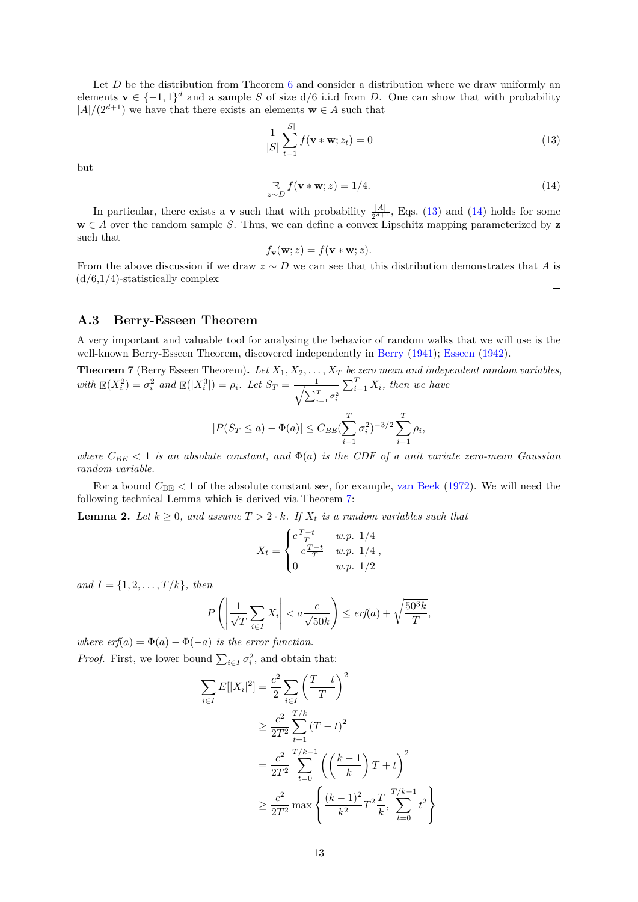<span id="page-12-0"></span>Let *D* be the distribution from Theorem [6](#page-11-2) and consider a distribution where we draw uniformly an elements  $\mathbf{v} \in \{-1,1\}^d$  and a sample *S* of size  $d/6$  i.i.d from *D*. One can show that with probability  $|A|/(2^{d+1})$  we have that there exists an elements **w**  $\in$  *A* such that

$$
\frac{1}{|S|} \sum_{t=1}^{|S|} f(\mathbf{v} * \mathbf{w}; z_t) = 0
$$
\n(13)

but

$$
\mathbb{E}_{z \sim D} f(\mathbf{v} * \mathbf{w}; z) = 1/4. \tag{14}
$$

In particular, there exists a **v** such that with probability  $\frac{|A|}{2^{d+1}}$ , Eqs. [\(13\)](#page-12-1) and [\(14\)](#page-12-2) holds for some  $\mathbf{w} \in A$  over the random sample *S*. Thus, we can define a convex Lipschitz mapping parameterized by **z** such that

$$
f_{\mathbf{v}}(\mathbf{w};z) = f(\mathbf{v} * \mathbf{w};z).
$$

From the above discussion if we draw *z* ∼ *D* we can see that this distribution demonstrates that *A* is  $(d/6,1/4)$ -statistically complex

<span id="page-12-2"></span><span id="page-12-1"></span> $\Box$ 

#### **A.3 Berry-Esseen Theorem**

A very important and valuable tool for analysing the behavior of random walks that we will use is the well-known Berry-Esseen Theorem, discovered independently in [Berry](#page-9-4) [\(1941\)](#page-9-4); [Esseen](#page-10-20) [\(1942\)](#page-10-20).

<span id="page-12-3"></span>**Theorem 7** (Berry Esseen Theorem)**.** *Let X*1*, X*2*, . . . , X<sup>T</sup> be zero mean and independent random variables, with*  $\mathbb{E}(X_i^2) = \sigma_i^2$  and  $\mathbb{E}(|X_i^3|) = \rho_i$ . Let  $S_T = \frac{1}{\sqrt{\sum_i^3}}$  $\sum_{i=1}^T σ_i^2$  $\sum_{i=1}^{T} X_i$ , then we have

$$
|P(S_T \le a) - \Phi(a)| \le C_{BE} \left(\sum_{i=1}^T \sigma_i^2\right)^{-3/2} \sum_{i=1}^T \rho_i,
$$

*where*  $C_{BE} < 1$  *is an absolute constant, and*  $\Phi(a)$  *is the CDF of a unit variate zero-mean Gaussian random variable.*

For a bound  $C_{BE}$  < 1 of the absolute constant see, for example, [van Beek](#page-10-21) [\(1972\)](#page-10-21). We will need the following technical Lemma which is derived via Theorem [7:](#page-12-3)

<span id="page-12-4"></span>**Lemma 2.** Let  $k \geq 0$ , and assume  $T > 2 \cdot k$ *. If*  $X_t$  *is a random variables such that* 

$$
X_t = \begin{cases} c \frac{T-t}{T} & w.p. \; 1/4 \\ -c \frac{T-t}{T} & w.p. \; 1/4 \\ 0 & w.p. \; 1/2 \end{cases},
$$

*and*  $I = \{1, 2, ..., T/k\}$ *, then* 

$$
P\left(\left|\frac{1}{\sqrt{T}}\sum_{i\in I}X_i\right| < a\frac{c}{\sqrt{50k}}\right) \le \text{erf}(a) + \sqrt{\frac{50^3k}{T}},
$$

*where erf*( $a$ ) =  $\Phi(a) - \Phi(-a)$  *is the error function. Proof.* First, we lower bound  $\sum_{i \in I} \sigma_i^2$ , and obtain that:

$$
\sum_{i \in I} E[|X_i|^2] = \frac{c^2}{2} \sum_{i \in I} \left(\frac{T-t}{T}\right)^2
$$
  
\n
$$
\geq \frac{c^2}{2T^2} \sum_{t=1}^{T/k} (T-t)^2
$$
  
\n
$$
= \frac{c^2}{2T^2} \sum_{t=0}^{T/k-1} \left( \left(\frac{k-1}{k}\right) T + t \right)^2
$$
  
\n
$$
\geq \frac{c^2}{2T^2} \max \left\{ \frac{(k-1)^2}{k^2} T^2 \frac{T}{k}, \sum_{t=0}^{T/k-1} t^2 \right\}
$$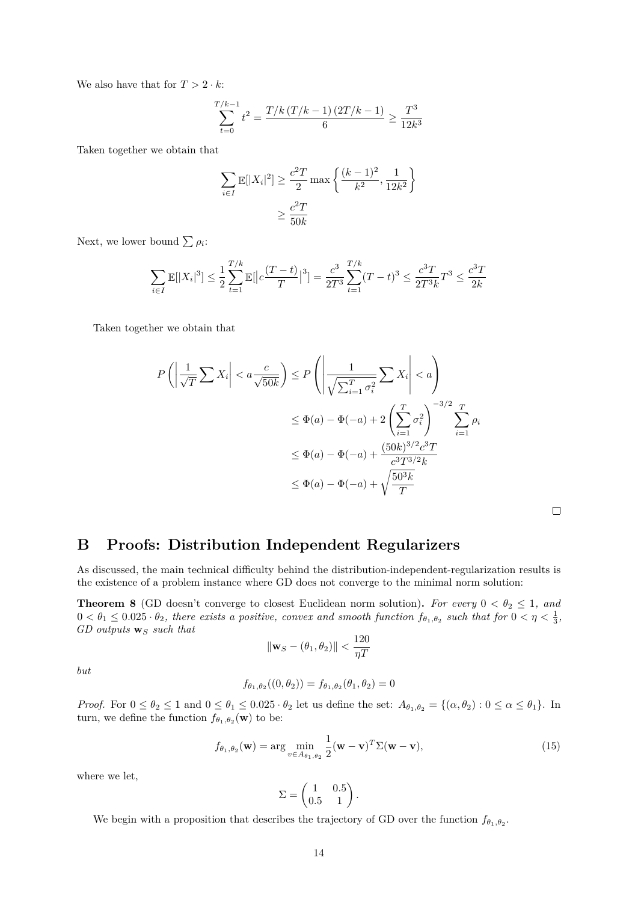We also have that for  $T > 2 \cdot k$ :

$$
\sum_{t=0}^{T/k-1} t^2 = \frac{T/k (T/k - 1) (2T/k - 1)}{6} \ge \frac{T^3}{12k^3}
$$

Taken together we obtain that

$$
\sum_{i \in I} \mathbb{E}[|X_i|^2] \ge \frac{c^2 T}{2} \max\left\{ \frac{(k-1)^2}{k^2}, \frac{1}{12k^2} \right\}
$$

$$
\ge \frac{c^2 T}{50k}
$$

Next, we lower bound  $\sum \rho_i$ :

$$
\sum_{i \in I} \mathbb{E}[|X_i|^3] \le \frac{1}{2} \sum_{t=1}^{T/k} \mathbb{E}[|c\frac{(T-t)}{T}|^3] = \frac{c^3}{2T^3} \sum_{t=1}^{T/k} (T-t)^3 \le \frac{c^3 T}{2T^3 k} T^3 \le \frac{c^3 T}{2k}
$$

Taken together we obtain that

$$
P\left(\left|\frac{1}{\sqrt{T}}\sum X_i\right| < a\frac{c}{\sqrt{50k}}\right) \le P\left(\left|\frac{1}{\sqrt{\sum_{i=1}^T \sigma_i^2}}\sum X_i\right| < a\right)
$$
\n
$$
\le \Phi(a) - \Phi(-a) + 2\left(\sum_{i=1}^T \sigma_i^2\right)^{-3/2} \sum_{i=1}^T \rho_i
$$
\n
$$
\le \Phi(a) - \Phi(-a) + \frac{(50k)^{3/2}c^3T}{c^3T^{3/2}k}
$$
\n
$$
\le \Phi(a) - \Phi(-a) + \sqrt{\frac{50^3k}{T}}
$$

 $\Box$ 

# **B Proofs: Distribution Independent Regularizers**

As discussed, the main technical difficulty behind the distribution-independent-regularization results is the existence of a problem instance where GD does not converge to the minimal norm solution:

<span id="page-13-0"></span>**Theorem 8** (GD doesn't converge to closest Euclidean norm solution). For every  $0 < \theta_2 \leq 1$ , and  $0 < \theta_1 \leq 0.025 \cdot \theta_2$ , there exists a positive, convex and smooth function  $f_{\theta_1,\theta_2}$  such that for  $0 < \eta < \frac{1}{3}$ , *GD outputs* **w***<sup>S</sup> such that*

$$
\|\mathbf{w}_S - (\theta_1, \theta_2)\| < \frac{120}{\eta T}
$$

*but*

$$
f_{\theta_1, \theta_2}((0, \theta_2)) = f_{\theta_1, \theta_2}(\theta_1, \theta_2) = 0
$$

*Proof.* For  $0 \le \theta_2 \le 1$  and  $0 \le \theta_1 \le 0.025 \cdot \theta_2$  let us define the set:  $A_{\theta_1, \theta_2} = \{(\alpha, \theta_2) : 0 \le \alpha \le \theta_1\}$ . In turn, we define the function  $f_{\theta_1, \theta_2}(\mathbf{w})$  to be:

$$
f_{\theta_1, \theta_2}(\mathbf{w}) = \arg \min_{v \in A_{\theta_1, \theta_2}} \frac{1}{2} (\mathbf{w} - \mathbf{v})^T \Sigma (\mathbf{w} - \mathbf{v}),
$$
\n(15)

where we let,

$$
\Sigma = \begin{pmatrix} 1 & 0.5 \\ 0.5 & 1 \end{pmatrix}.
$$

<span id="page-13-1"></span>We begin with a proposition that describes the trajectory of GD over the function  $f_{\theta_1, \theta_2}$ .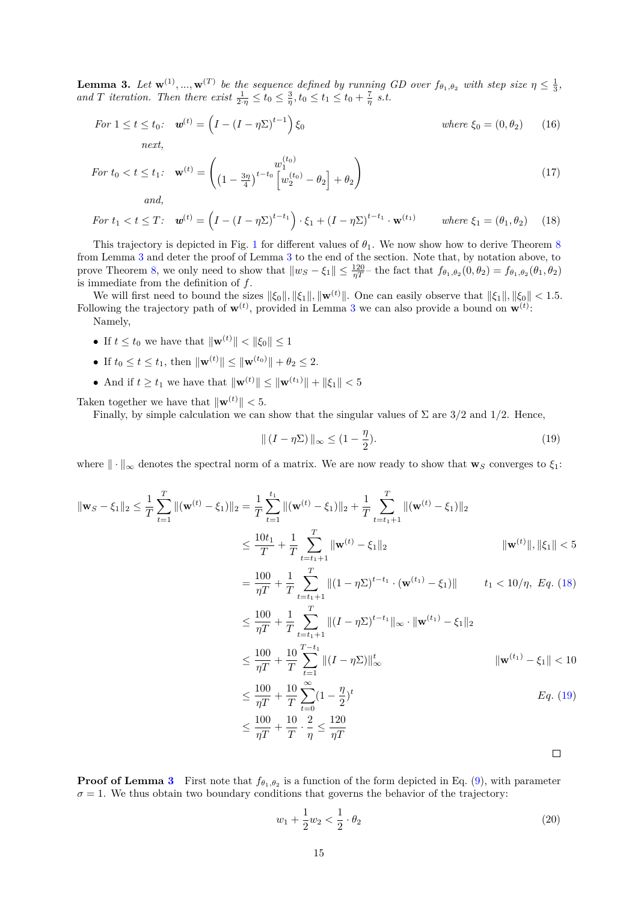**Lemma 3.** Let  $\mathbf{w}^{(1)},...,\mathbf{w}^{(T)}$  be the sequence defined by running GD over  $f_{\theta_1,\theta_2}$  with step size  $\eta \leq \frac{1}{3}$ , *and T iteration. Then there exist*  $\frac{1}{2\eta} \le t_0 \le \frac{3}{\eta}, t_0 \le t_1 \le t_0 + \frac{7}{\eta} s.t.$ 

For 
$$
1 \le t \le t_0
$$
:  $\mathbf{w}^{(t)} = \left(I - (I - \eta \Sigma)^{t-1}\right) \xi_0$  where  $\xi_0 = (0, \theta_2)$  (16)  
next,

$$
For \ t_0 < t \le t_1 \colon \ \mathbf{w}^{(t)} = \begin{pmatrix} w_1^{(t_0)} \\ \left(1 - \frac{3\eta}{4}\right)^{t - t_0} \left[w_2^{(t_0)} - \theta_2\right] + \theta_2 \end{pmatrix} \tag{17}
$$

*and,*

$$
For \ t_1 < t \leq T: \quad \mathbf{w}^{(t)} = \left(I - (I - \eta \Sigma)^{t - t_1}\right) \cdot \xi_1 + \left(I - \eta \Sigma\right)^{t - t_1} \cdot \mathbf{w}^{(t_1)} \qquad \text{where } \xi_1 = (\theta_1, \theta_2) \tag{18}
$$

This trajectory is depicted in Fig. [1](#page-7-0) for different values of  $\theta_1$ . We now show how to derive Theorem [8](#page-13-0) from Lemma [3](#page-13-1) and deter the proof of Lemma [3](#page-13-1) to the end of the section. Note that, by notation above, to prove Theorem [8,](#page-13-0) we only need to show that  $||w_S - \xi_1|| \leq \frac{120}{\eta T}$  the fact that  $f_{\theta_1, \theta_2}(0, \theta_2) = f_{\theta_1, \theta_2}(\theta_1, \theta_2)$ is immediate from the definition of *f*.

We will first need to bound the sizes  $\|\xi_0\|$ ,  $\|\xi_1\|$ ,  $\|\mathbf{w}^{(t)}\|$ . One can easily observe that  $\|\xi_1\|$ ,  $\|\xi_0\|$  < 1.5. Following the trajectory path of  $\mathbf{w}^{(t)}$ , provided in Lemma [3](#page-13-1) we can also provide a bound on  $\mathbf{w}^{(t)}$ .

Namely,

- If  $t \le t_0$  we have that  $\|\mathbf{w}^{(t)}\| < \|\xi_0\| \le 1$
- If  $t_0 \le t \le t_1$ , then  $\|\mathbf{w}^{(t)}\| \le \|\mathbf{w}^{(t_0)}\| + \theta_2 \le 2$ .
- And if  $t \ge t_1$  we have that  $\|\mathbf{w}^{(t)}\| \le \|\mathbf{w}^{(t_1)}\| + \|\xi_1\| < 5$

Taken together we have that  $\|\mathbf{w}^{(t)}\| < 5$ .

Finally, by simple calculation we can show that the singular values of  $\Sigma$  are  $3/2$  and  $1/2$ . Hence,

<span id="page-14-0"></span>
$$
\| (I - \eta \Sigma) \|_{\infty} \le (1 - \frac{\eta}{2}).
$$
\n(19)

where  $\|\cdot\|_{\infty}$  denotes the spectral norm of a matrix. We are now ready to show that **w**<sub>*S*</sub> converges to  $\xi_1$ :

$$
\|\mathbf{w}_{S} - \xi_{1}\|_{2} \leq \frac{1}{T} \sum_{t=1}^{T} \|(\mathbf{w}^{(t)} - \xi_{1})\|_{2} = \frac{1}{T} \sum_{t=1}^{t_{1}} \|(\mathbf{w}^{(t)} - \xi_{1})\|_{2} + \frac{1}{T} \sum_{t=t_{1}+1}^{T} \|(\mathbf{w}^{(t)} - \xi_{1})\|_{2}
$$
\n
$$
\leq \frac{10t_{1}}{T} + \frac{1}{T} \sum_{t=t_{1}+1}^{T} \|(\mathbf{w}^{(t)} - \xi_{1}\|_{2} \qquad \|\mathbf{w}^{(t)}\|, \|\xi_{1}\| < 5
$$
\n
$$
= \frac{100}{\eta T} + \frac{1}{T} \sum_{t=t_{1}+1}^{T} \| (1 - \eta \Sigma)^{t-t_{1}} \cdot (\mathbf{w}^{(t_{1})} - \xi_{1})\| \qquad t_{1} < 10/\eta, \ Eq. \ (18)
$$
\n
$$
\leq \frac{100}{\eta T} + \frac{1}{T} \sum_{t=t_{1}+1}^{T} \| (I - \eta \Sigma)^{t-t_{1}} \|_{\infty} \cdot \|\mathbf{w}^{(t_{1})} - \xi_{1}\|_{2}
$$
\n
$$
\leq \frac{100}{\eta T} + \frac{10}{T} \sum_{t=0}^{T-t_{1}} \| (I - \eta \Sigma) \|_{\infty}^{t}
$$
\n
$$
\|\mathbf{w}^{(t_{1})} - \xi_{1}\| < 10
$$
\n
$$
\leq \frac{100}{\eta T} + \frac{10}{T} \sum_{t=0}^{\infty} (1 - \frac{\eta}{2})^{t}
$$
\n
$$
\leq \frac{100}{\eta T} + \frac{10}{T} \cdot \frac{2}{\eta} \leq \frac{120}{\eta T}
$$

**Proof of Lemma [3](#page-13-1)** First note that  $f_{\theta_1,\theta_2}$  is a function of the form depicted in Eq. [\(9\)](#page-11-1), with parameter  $\sigma = 1$ . We thus obtain two boundary conditions that governs the behavior of the trajectory:

<span id="page-14-1"></span>
$$
w_1 + \frac{1}{2}w_2 < \frac{1}{2} \cdot \theta_2 \tag{20}
$$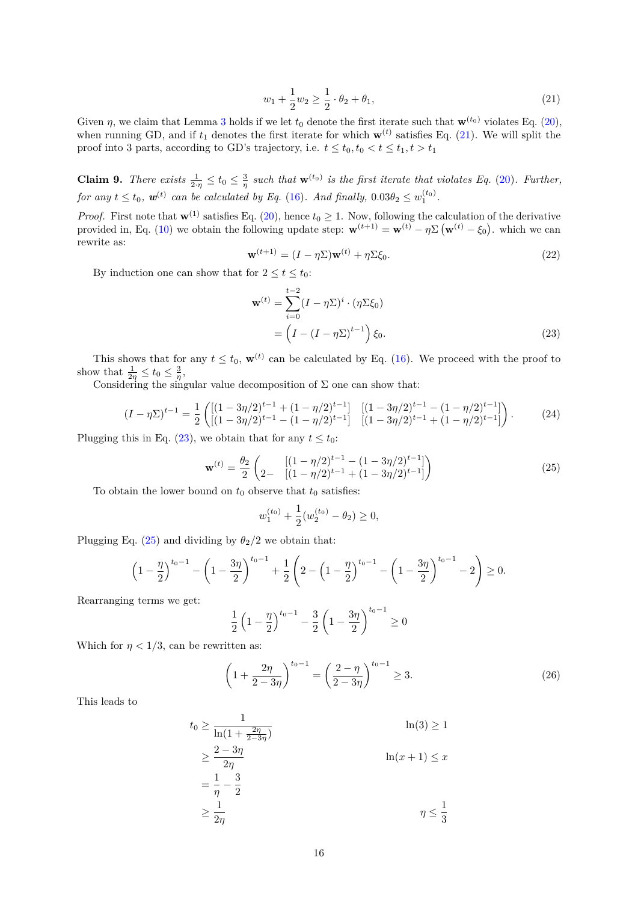$$
w_1 + \frac{1}{2}w_2 \ge \frac{1}{2} \cdot \theta_2 + \theta_1,\tag{21}
$$

<span id="page-15-0"></span>Given *η*, we claim that Lemma [3](#page-13-1) holds if we let  $t_0$  denote the first iterate such that  $\mathbf{w}^{(t_0)}$  violates Eq. [\(20\)](#page-14-1), when running GD, and if  $t_1$  denotes the first iterate for which  $\mathbf{w}^{(t)}$  satisfies Eq. [\(21\)](#page-15-0). We will split the proof into 3 parts, according to GD's trajectory, i.e.  $t \le t_0, t_0 < t \le t_1, t > t_1$ 

**Claim 9.** *There exists*  $\frac{1}{2\cdot\eta} \le t_0 \le \frac{3}{\eta}$  *such that*  $\mathbf{w}^{(t_0)}$  *is the first iterate that violates Eq.* [\(20\)](#page-14-1)*. Further, for any*  $t \le t_0$ ,  $w^{(t)}$  can be calculated by Eq. [\(16\)](#page-13-1). And finally,  $0.03\theta_2 \le w_1^{(t_0)}$ .

*Proof.* First note that  $\mathbf{w}^{(1)}$  satisfies Eq. [\(20\)](#page-14-1), hence  $t_0 \geq 1$ . Now, following the calculation of the derivative provided in, Eq. [\(10\)](#page-11-3) we obtain the following update step:  $\mathbf{w}^{(t+1)} = \mathbf{w}^{(t)} - \eta \Sigma (\mathbf{w}^{(t)} - \xi_0)$ , which we can rewrite as:

$$
\mathbf{w}^{(t+1)} = (I - \eta \Sigma) \mathbf{w}^{(t)} + \eta \Sigma \xi_0.
$$
 (22)

<span id="page-15-1"></span>By induction one can show that for  $2 \le t \le t_0$ :

$$
\mathbf{w}^{(t)} = \sum_{i=0}^{t-2} (I - \eta \Sigma)^i \cdot (\eta \Sigma \xi_0)
$$
  
= 
$$
\left(I - (I - \eta \Sigma)^{t-1}\right) \xi_0.
$$
 (23)

This shows that for any  $t \leq t_0$ ,  $\mathbf{w}^{(t)}$  can be calculated by Eq. [\(16\)](#page-13-1). We proceed with the proof to show that  $\frac{1}{2\eta} \le t_0 \le \frac{3}{\eta}$ ,

<span id="page-15-4"></span>Considering the singular value decomposition of  $\Sigma$  one can show that:

$$
(I - \eta \Sigma)^{t-1} = \frac{1}{2} \left( \left[ (1 - 3\eta/2)^{t-1} + (1 - \eta/2)^{t-1} \right] \right] \left[ (1 - 3\eta/2)^{t-1} - (1 - \eta/2)^{t-1} \right] \tag{24}
$$

<span id="page-15-2"></span>Plugging this in Eq. [\(23\)](#page-15-1), we obtain that for any  $t \leq t_0$ :

$$
\mathbf{w}^{(t)} = \frac{\theta_2}{2} \begin{pmatrix} [(1 - \eta/2)^{t-1} - (1 - 3\eta/2)^{t-1}] \\ [1 - \eta/2)^{t-1} + (1 - 3\eta/2)^{t-1}] \end{pmatrix}
$$
(25)

To obtain the lower bound on  $t_0$  observe that  $t_0$  satisfies:

$$
w_1^{(t_0)} + \frac{1}{2}(w_2^{(t_0)} - \theta_2) \ge 0,
$$

Plugging Eq. [\(25\)](#page-15-2) and dividing by  $\theta_2/2$  we obtain that:

$$
\left(1 - \frac{\eta}{2}\right)^{t_0 - 1} - \left(1 - \frac{3\eta}{2}\right)^{t_0 - 1} + \frac{1}{2}\left(2 - \left(1 - \frac{\eta}{2}\right)^{t_0 - 1} - \left(1 - \frac{3\eta}{2}\right)^{t_0 - 1} - 2\right) \ge 0.
$$

Rearranging terms we get:

<span id="page-15-3"></span>
$$
\frac{1}{2}\left(1-\frac{\eta}{2}\right)^{t_0-1} - \frac{3}{2}\left(1-\frac{3\eta}{2}\right)^{t_0-1} \ge 0
$$

Which for  $\eta < 1/3$ , can be rewritten as:

$$
\left(1 + \frac{2\eta}{2 - 3\eta}\right)^{t_0 - 1} = \left(\frac{2 - \eta}{2 - 3\eta}\right)^{t_0 - 1} \ge 3.
$$
\n(26)

This leads to

$$
t_0 \ge \frac{1}{\ln(1 + \frac{2\eta}{2 - 3\eta})}
$$
\n
$$
\ge \frac{2 - 3\eta}{2\eta}
$$
\n
$$
= \frac{1}{\eta} - \frac{3}{2}
$$
\n
$$
\ge \frac{1}{2\eta}
$$
\n
$$
n(x + 1) \le x
$$
\n
$$
\ge \frac{1}{2\eta}
$$
\n
$$
\eta \le \frac{1}{3}
$$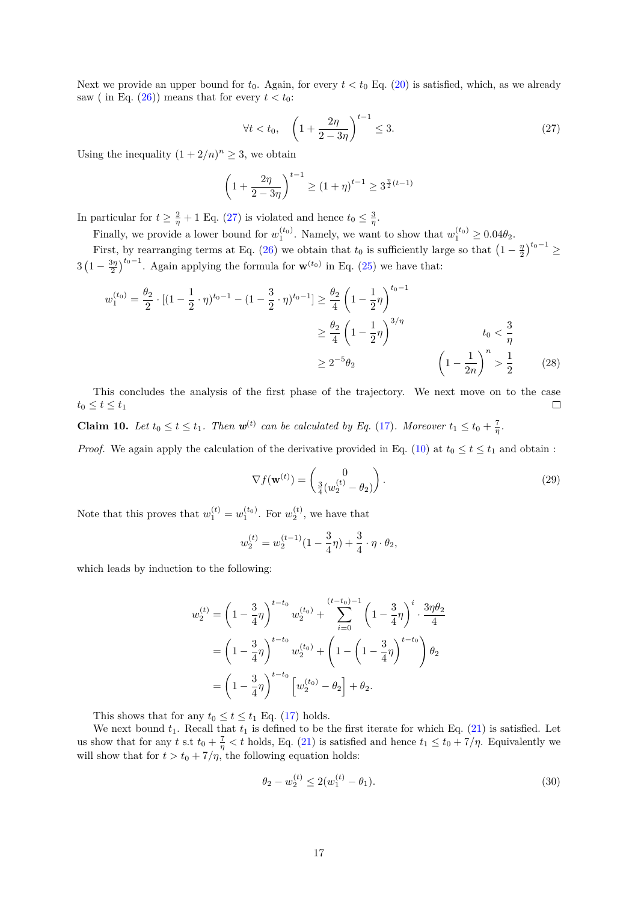<span id="page-16-0"></span>Next we provide an upper bound for  $t_0$ . Again, for every  $t < t_0$  Eq. [\(20\)](#page-14-1) is satisfied, which, as we already saw ( in Eq.  $(26)$ ) means that for every  $t < t_0$ :

$$
\forall t < t_0, \quad \left(1 + \frac{2\eta}{2 - 3\eta}\right)^{t-1} \le 3. \tag{27}
$$

Using the inequality  $(1 + 2/n)^n \geq 3$ , we obtain

$$
\left(1 + \frac{2\eta}{2 - 3\eta}\right)^{t-1} \ge \left(1 + \eta\right)^{t-1} \ge 3^{\frac{\eta}{2}(t-1)}
$$

In particular for  $t \geq \frac{2}{\eta} + 1$  Eq. [\(27\)](#page-16-0) is violated and hence  $t_0 \leq \frac{3}{\eta}$ .

Finally, we provide a lower bound for  $w_1^{(t_0)}$ . Namely, we want to show that  $w_1^{(t_0)} \ge 0.04\theta_2$ .

First, by rearranging terms at Eq. [\(26\)](#page-15-3) we obtain that  $t_0$  is sufficiently large so that  $\left(1 - \frac{\eta}{2}\right)^{t_0 - 1} \ge$  $3\left(1-\frac{3\eta}{2}\right)^{t_0-1}$ . Again applying the formula for  $\mathbf{w}^{(t_0)}$  in Eq. [\(25\)](#page-15-2) we have that:

$$
w_1^{(t_0)} = \frac{\theta_2}{2} \cdot \left[ (1 - \frac{1}{2} \cdot \eta)^{t_0 - 1} - (1 - \frac{3}{2} \cdot \eta)^{t_0 - 1} \right] \ge \frac{\theta_2}{4} \left( 1 - \frac{1}{2} \eta \right)^{t_0 - 1}
$$
  

$$
\ge \frac{\theta_2}{4} \left( 1 - \frac{1}{2} \eta \right)^{3/\eta}
$$
  

$$
\ge 2^{-5} \theta_2 \qquad \left( 1 - \frac{1}{2n} \right)^n > \frac{1}{2} \qquad (28)
$$

This concludes the analysis of the first phase of the trajectory. We next move on to the case  $t_0 \leq t \leq t_1$  $\Box$ 

**Claim 10.** *Let*  $t_0 \le t \le t_1$ . *Then*  $\mathbf{w}^{(t)}$  *can be calculated by Eq.* [\(17\)](#page-13-1)*. Moreover*  $t_1 \le t_0 + \frac{7}{\eta}$ .

*Proof.* We again apply the calculation of the derivative provided in Eq. [\(10\)](#page-11-3) at  $t_0 \le t \le t_1$  and obtain :

$$
\nabla f(\mathbf{w}^{(t)}) = \begin{pmatrix} 0 \\ \frac{3}{4} (w_2^{(t)} - \theta_2) \end{pmatrix}.
$$
 (29)

Note that this proves that  $w_1^{(t)} = w_1^{(t_0)}$ . For  $w_2^{(t)}$ , we have that

$$
w_2^{(t)} = w_2^{(t-1)}(1 - \frac{3}{4}\eta) + \frac{3}{4}\cdot\eta\cdot\theta_2,
$$

which leads by induction to the following:

$$
w_2^{(t)} = \left(1 - \frac{3}{4}\eta\right)^{t-t_0} w_2^{(t_0)} + \sum_{i=0}^{(t-t_0)-1} \left(1 - \frac{3}{4}\eta\right)^i \cdot \frac{3\eta\theta_2}{4}
$$

$$
= \left(1 - \frac{3}{4}\eta\right)^{t-t_0} w_2^{(t_0)} + \left(1 - \left(1 - \frac{3}{4}\eta\right)^{t-t_0}\right)\theta_2
$$

$$
= \left(1 - \frac{3}{4}\eta\right)^{t-t_0} \left[w_2^{(t_0)} - \theta_2\right] + \theta_2.
$$

This shows that for any  $t_0 \le t \le t_1$  Eq. [\(17\)](#page-13-1) holds.

We next bound  $t_1$ . Recall that  $t_1$  is defined to be the first iterate for which Eq.  $(21)$  is satisfied. Let us show that for any  $t$  s.t  $t_0 + \frac{7}{\eta} < t$  holds, Eq. [\(21\)](#page-15-0) is satisfied and hence  $t_1 \le t_0 + \frac{7}{\eta}$ . Equivalently we will show that for  $t > t_0 + 7/\eta$ , the following equation holds:

$$
\theta_2 - w_2^{(t)} \le 2(w_1^{(t)} - \theta_1). \tag{30}
$$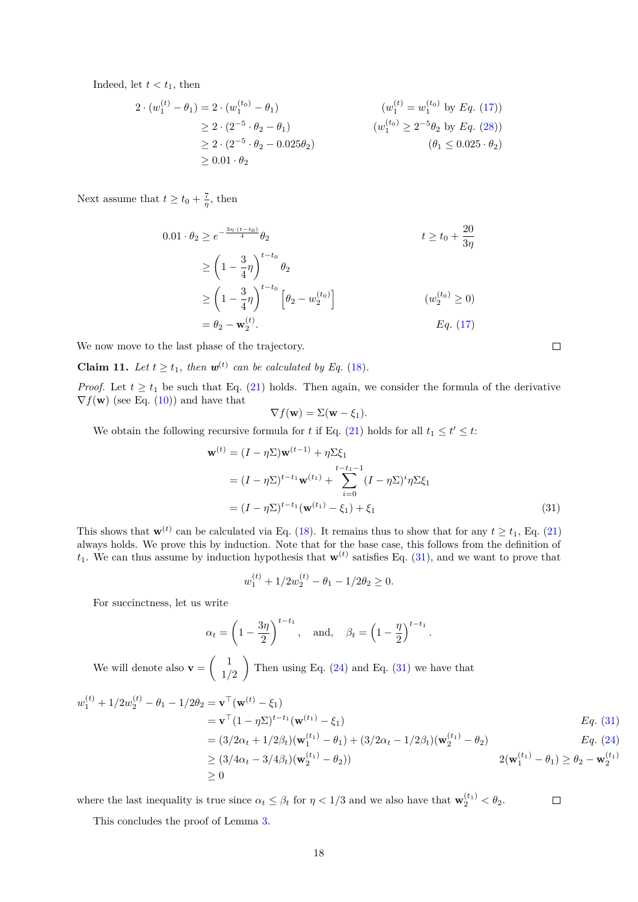Indeed, let  $t < t_1$ , then

$$
2 \cdot (w_1^{(t)} - \theta_1) = 2 \cdot (w_1^{(t_0)} - \theta_1)
$$
\n
$$
\geq 2 \cdot (2^{-5} \cdot \theta_2 - \theta_1)
$$
\n
$$
\geq 2 \cdot (2^{-5} \cdot \theta_2 - 0.025\theta_2)
$$
\n
$$
\geq 0.01 \cdot \theta_2
$$
\n
$$
(w_1^{(t_0)} \geq 2^{-5}\theta_2 \text{ by } Eq. (28))
$$
\n
$$
(\theta_1 \leq 0.025 \cdot \theta_2)
$$

Next assume that  $t \ge t_0 + \frac{7}{\eta}$ , then

$$
0.01 \cdot \theta_2 \ge e^{-\frac{3\eta \cdot (t - t_0)}{4}} \theta_2
$$
  
\n
$$
\ge \left(1 - \frac{3}{4}\eta\right)^{t - t_0} \theta_2
$$
  
\n
$$
\ge \left(1 - \frac{3}{4}\eta\right)^{t - t_0} \left[\theta_2 - w_2^{(t_0)}\right]
$$
  
\n
$$
= \theta_2 - \mathbf{w}_2^{(t)}.
$$
  
\n
$$
Eq. (17)
$$

We now move to the last phase of the trajectory.

<span id="page-17-0"></span>**Claim 11.** *Let*  $t \geq t_1$ *, then*  $\mathbf{w}^{(t)}$  *can be calculated by Eq.* [\(18\)](#page-13-1)*.* 

*Proof.* Let  $t \geq t_1$  be such that Eq. [\(21\)](#page-15-0) holds. Then again, we consider the formula of the derivative  $\nabla f(\mathbf{w})$  (see Eq. [\(10\)](#page-11-3)) and have that

$$
\nabla f(\mathbf{w}) = \Sigma(\mathbf{w} - \xi_1).
$$

We obtain the following recursive formula for *t* if Eq. [\(21\)](#page-15-0) holds for all  $t_1 \le t' \le t$ :

$$
\mathbf{w}^{(t)} = (I - \eta \Sigma) \mathbf{w}^{(t-1)} + \eta \Sigma \xi_1
$$
  
=  $(I - \eta \Sigma)^{t-t_1} \mathbf{w}^{(t_1)} + \sum_{i=0}^{t-t_1-1} (I - \eta \Sigma)^i \eta \Sigma \xi_1$   
=  $(I - \eta \Sigma)^{t-t_1} (\mathbf{w}^{(t_1)} - \xi_1) + \xi_1$  (31)

This shows that  $\mathbf{w}^{(t)}$  can be calculated via Eq. [\(18\)](#page-13-1). It remains thus to show that for any  $t \ge t_1$ , Eq. [\(21\)](#page-15-0) always holds. We prove this by induction. Note that for the base case, this follows from the definition of  $t_1$ . We can thus assume by induction hypothesis that  $\mathbf{w}^{(t)}$  satisfies Eq. [\(31\)](#page-17-0), and we want to prove that

$$
w_1^{(t)} + 1/2w_2^{(t)} - \theta_1 - 1/2\theta_2 \ge 0.
$$

For succinctness, let us write

$$
\alpha_t = \left(1 - \frac{3\eta}{2}\right)^{t-t_1}
$$
, and,  $\beta_t = \left(1 - \frac{\eta}{2}\right)^{t-t_1}$ .

We will denote also  $\mathbf{v} = \begin{pmatrix} 1 \\ 1 \end{pmatrix}$ 1*/*2 Then using Eq.  $(24)$  and Eq.  $(31)$  we have that

$$
w_1^{(t)} + 1/2w_2^{(t)} - \theta_1 - 1/2\theta_2 = \mathbf{v}^\top(\mathbf{w}^{(t)} - \xi_1)
$$
  
\n
$$
= \mathbf{v}^\top (1 - \eta \Sigma)^{t - t_1} (\mathbf{w}^{(t_1)} - \xi_1)
$$
  
\n
$$
= (3/2\alpha_t + 1/2\beta_t) (\mathbf{w}_1^{(t_1)} - \theta_1) + (3/2\alpha_t - 1/2\beta_t) (\mathbf{w}_2^{(t_1)} - \theta_2)
$$
  
\n
$$
\geq (3/4\alpha_t - 3/4\beta_t) (\mathbf{w}_2^{(t_1)} - \theta_2))
$$
  
\n
$$
\geq 0
$$
  
\n
$$
2(\mathbf{w}_1^{(t_1)} - \theta_1) \geq \theta_2 - \mathbf{w}_2^{(t_1)}
$$

where the last inequality is true since  $\alpha_t \leq \beta_t$  for  $\eta < 1/3$  and we also have that  $\mathbf{w}_2^{(t_1)} < \theta_2$ .

This concludes the proof of Lemma [3.](#page-13-1)

 $\Box$ 

 $\Box$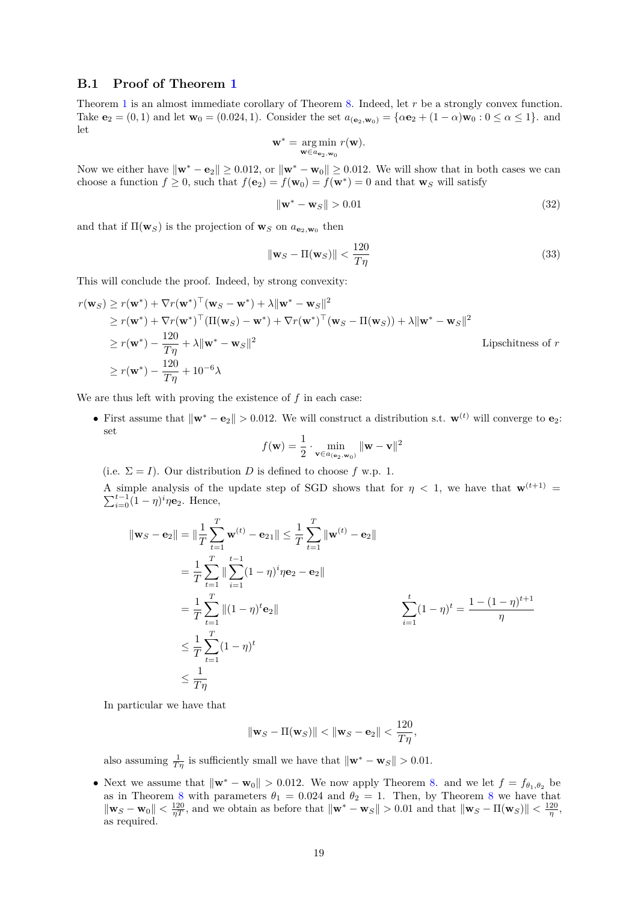### **B.1 Proof of Theorem [1](#page-5-2)**

Theorem [1](#page-5-2) is an almost immediate corollary of Theorem [8.](#page-13-0) Indeed, let *r* be a strongly convex function. Take **e**<sub>2</sub> = (0, 1) and let **w**<sub>0</sub> = (0.024, 1). Consider the set  $a_{(e_2,w_0)} = {\alpha e_2 + (1 - \alpha) w_0 : 0 \le \alpha \le 1}$ . and let

$$
\mathbf{w}^* = \underset{\mathbf{w} \in a_{\mathbf{e}_2, \mathbf{w}_0}}{\arg \min} r(\mathbf{w}).
$$

Now we either have  $\|\mathbf{w}^* - \mathbf{e}_2\| \ge 0.012$ , or  $\|\mathbf{w}^* - \mathbf{w}_0\| \ge 0.012$ . We will show that in both cases we can choose a function  $f \ge 0$ , such that  $f(\mathbf{e}_2) = f(\mathbf{w}_0) = f(\mathbf{w}^*) = 0$  and that  $\mathbf{w}_S$  will satisfy

$$
\|\mathbf{w}^* - \mathbf{w}_S\| > 0.01\tag{32}
$$

and that if  $\Pi(\mathbf{w}_S)$  is the projection of  $\mathbf{w}_S$  on  $a_{\mathbf{e}_2,\mathbf{w}_0}$  then

$$
\|\mathbf{w}_S - \Pi(\mathbf{w}_S)\| < \frac{120}{T\eta} \tag{33}
$$

This will conclude the proof. Indeed, by strong convexity:

$$
r(\mathbf{w}_S) \ge r(\mathbf{w}^*) + \nabla r(\mathbf{w}^*)^\top (\mathbf{w}_S - \mathbf{w}^*) + \lambda \|\mathbf{w}^* - \mathbf{w}_S\|^2
$$
  
\n
$$
\ge r(\mathbf{w}^*) + \nabla r(\mathbf{w}^*)^\top (\Pi(\mathbf{w}_S) - \mathbf{w}^*) + \nabla r(\mathbf{w}^*)^\top (\mathbf{w}_S - \Pi(\mathbf{w}_S)) + \lambda \|\mathbf{w}^* - \mathbf{w}_S\|^2
$$
  
\n
$$
\ge r(\mathbf{w}^*) - \frac{120}{T\eta} + \lambda \|\mathbf{w}^* - \mathbf{w}_S\|^2
$$
  
\n
$$
\ge r(\mathbf{w}^*) - \frac{120}{T\eta} + 10^{-6}\lambda
$$
 Lipschitness of  $r$ 

We are thus left with proving the existence of *f* in each case:

• First assume that  $\|\mathbf{w}^* - \mathbf{e}_2\| > 0.012$ . We will construct a distribution s.t.  $\mathbf{w}^{(t)}$  will converge to  $\mathbf{e}_2$ : set

$$
f(\mathbf{w}) = \frac{1}{2} \cdot \min_{\mathbf{v} \in a_{(\mathbf{e}_2, \mathbf{w}_0)}} \|\mathbf{w} - \mathbf{v}\|^2
$$

(i.e.  $\Sigma = I$ ). Our distribution *D* is defined to choose *f* w.p. 1.

A simple analysis of the update step of SGD shows that for  $\eta$  < 1, we have that  $\mathbf{w}^{(t+1)}$  =  $\sum_{i=0}^{t-1} (1 - \eta)^i \eta \mathbf{e}_2$ . Hence,

$$
\|\mathbf{w}_{S} - \mathbf{e}_{2}\| = \|\frac{1}{T} \sum_{t=1}^{T} \mathbf{w}^{(t)} - \mathbf{e}_{21}\| \leq \frac{1}{T} \sum_{t=1}^{T} \|\mathbf{w}^{(t)} - \mathbf{e}_{2}\|
$$
  
\n
$$
= \frac{1}{T} \sum_{t=1}^{T} \|\sum_{i=1}^{t-1} (1 - \eta)^{i} \eta \mathbf{e}_{2} - \mathbf{e}_{2}\|
$$
  
\n
$$
= \frac{1}{T} \sum_{t=1}^{T} \|(1 - \eta)^{t} \mathbf{e}_{2}\|
$$
  
\n
$$
\leq \frac{1}{T} \sum_{t=1}^{T} (1 - \eta)^{t}
$$
  
\n
$$
\leq \frac{1}{T\eta}
$$

In particular we have that

$$
\|\mathbf{w}_S - \Pi(\mathbf{w}_S)\| < \|\mathbf{w}_S - \mathbf{e}_2\| < \frac{120}{T\eta},
$$

also assuming  $\frac{1}{T\eta}$  is sufficiently small we have that  $\|\mathbf{w}^* - \mathbf{w}_S\| > 0.01$ .

• Next we assume that  $\|\mathbf{w}^* - \mathbf{w}_0\| > 0.012$ . We now apply Theorem [8.](#page-13-0) and we let  $f = f_{\theta_1, \theta_2}$  be as in Theorem [8](#page-13-0) with parameters  $\theta_1 = 0.024$  and  $\theta_2 = 1$ . Then, by Theorem 8 we have that  $\|\mathbf{w}_S - \mathbf{w}_0\| < \frac{120}{\eta T}$ , and we obtain as before that  $\|\mathbf{w}^* - \mathbf{w}_S\| > 0.01$  and that  $\|\mathbf{w}_S - \Pi(\mathbf{w}_S)\| < \frac{120}{\eta}$ , as required.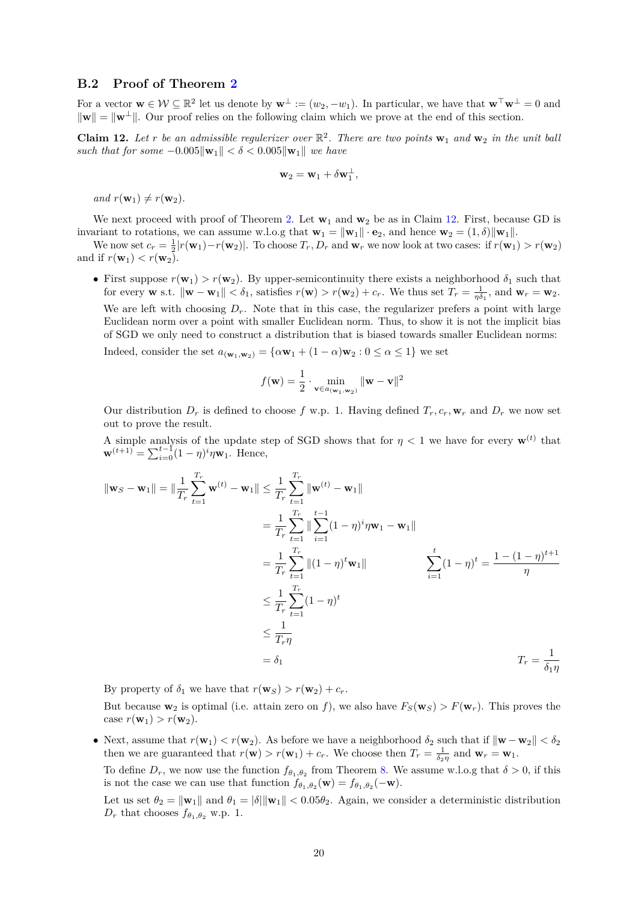### **B.2 Proof of Theorem [2](#page-5-3)**

For a vector  $\mathbf{w} \in \mathcal{W} \subseteq \mathbb{R}^2$  let us denote by  $\mathbf{w}^{\perp} := (w_2, -w_1)$ . In particular, we have that  $\mathbf{w}^{\top} \mathbf{w}^{\perp} = 0$  and  $\|\mathbf{w}\| = \|\mathbf{w}^{\perp}\|$ . Our proof relies on the following claim which we prove at the end of this section.

<span id="page-19-0"></span>**Claim 12.** Let r be an admissible regulerizer over  $\mathbb{R}^2$ . There are two points  $\mathbf{w}_1$  and  $\mathbf{w}_2$  in the unit ball *such that for some*  $-0.005\|\mathbf{w}_1\| < \delta < 0.005\|\mathbf{w}_1\|$  *we have* 

$$
\mathbf{w}_2 = \mathbf{w}_1 + \delta \mathbf{w}_1^\perp,
$$

 $and r(\mathbf{w}_1) \neq r(\mathbf{w}_2)$ .

We next proceed with proof of Theorem [2.](#page-5-3) Let  $w_1$  and  $w_2$  be as in Claim [12.](#page-19-0) First, because GD is invariant to rotations, we can assume w.l.o.g that  $\mathbf{w}_1 = ||\mathbf{w}_1|| \cdot \mathbf{e}_2$ , and hence  $\mathbf{w}_2 = (1, \delta) ||\mathbf{w}_1||$ .

We now set  $c_r = \frac{1}{2}|r(\mathbf{w}_1) - r(\mathbf{w}_2)|$ . To choose  $T_r, D_r$  and  $\mathbf{w}_r$  we now look at two cases: if  $r(\mathbf{w}_1) > r(\mathbf{w}_2)$ and if  $r(\mathbf{w}_1) < r(\mathbf{w}_2)$ .

• First suppose  $r(\mathbf{w}_1) > r(\mathbf{w}_2)$ . By upper-semicontinuity there exists a neighborhood  $\delta_1$  such that for every **w** s.t.  $\|\mathbf{w} - \mathbf{w}_1\| < \delta_1$ , satisfies  $r(\mathbf{w}) > r(\mathbf{w}_2) + c_r$ . We thus set  $T_r = \frac{1}{\eta \delta_1}$ , and  $\mathbf{w}_r = \mathbf{w}_2$ . We are left with choosing  $D_r$ . Note that in this case, the regularizer prefers a point with large Euclidean norm over a point with smaller Euclidean norm. Thus, to show it is not the implicit bias of SGD we only need to construct a distribution that is biased towards smaller Euclidean norms:

Indeed, consider the set  $a_{(\mathbf{w}_1,\mathbf{w}_2)} = {\alpha \mathbf{w}_1 + (1 - \alpha) \mathbf{w}_2 : 0 \leq \alpha \leq 1}$  we set

$$
f(\mathbf{w}) = \frac{1}{2} \cdot \min_{\mathbf{v} \in a_{(\mathbf{w}_1, \mathbf{w}_2)}} \|\mathbf{w} - \mathbf{v}\|^2
$$

Our distribution  $D_r$  is defined to choose f w.p. 1. Having defined  $T_r$ ,  $c_r$ ,  $\mathbf{w}_r$  and  $D_r$  we now set out to prove the result.

A simple analysis of the update step of SGD shows that for  $\eta < 1$  we have for every  $\mathbf{w}^{(t)}$  that  $\mathbf{w}^{(t+1)} = \sum_{i=0}^{t-1} (1 - \eta)^i \eta \mathbf{w}_1$ . Hence,

$$
\|\mathbf{w}_{S} - \mathbf{w}_{1}\| = \|\frac{1}{T_{r}} \sum_{t=1}^{T_{r}} \mathbf{w}^{(t)} - \mathbf{w}_{1}\| \leq \frac{1}{T_{r}} \sum_{t=1}^{T_{r}} \|\mathbf{w}^{(t)} - \mathbf{w}_{1}\|
$$
  
\n
$$
= \frac{1}{T_{r}} \sum_{t=1}^{T_{r}} \|\sum_{i=1}^{T_{r}} (1 - \eta)^{i} \eta \mathbf{w}_{1} - \mathbf{w}_{1}\|
$$
  
\n
$$
= \frac{1}{T_{r}} \sum_{t=1}^{T_{r}} \|(1 - \eta)^{t} \mathbf{w}_{1}\|
$$
  
\n
$$
\leq \frac{1}{T_{r}} \sum_{t=1}^{T_{r}} (1 - \eta)^{t}
$$
  
\n
$$
\leq \frac{1}{T_{r}} \sum_{t=1}^{T_{r}} (1 - \eta)^{t}
$$
  
\n
$$
\leq \frac{1}{T_{r}\eta}
$$
  
\n
$$
= \delta_{1}
$$
  
\n
$$
T_{r} = \frac{1}{\delta_{1}\eta}
$$

By property of  $\delta_1$  we have that  $r(\mathbf{w}_S) > r(\mathbf{w}_2) + c_r$ .

But because  $\mathbf{w}_2$  is optimal (i.e. attain zero on f), we also have  $F_S(\mathbf{w}_S) > F(\mathbf{w}_r)$ . This proves the case  $r(\mathbf{w}_1) > r(\mathbf{w}_2)$ .

• Next, assume that  $r(\mathbf{w}_1) < r(\mathbf{w}_2)$ . As before we have a neighborhood  $\delta_2$  such that if  $\|\mathbf{w} - \mathbf{w}_2\| < \delta_2$ then we are guaranteed that  $r(\mathbf{w}) > r(\mathbf{w}_1) + c_r$ . We choose then  $T_r = \frac{1}{\delta_2 \eta}$  and  $\mathbf{w}_r = \mathbf{w}_1$ .

To define  $D_r$ , we now use the function  $f_{\theta_1,\theta_2}$  from Theorem [8.](#page-13-0) We assume w.l.o.g that  $\delta > 0$ , if this is not the case we can use that function  $f_{\theta_1, \theta_2}(\mathbf{w}) = f_{\theta_1, \theta_2}(-\mathbf{w})$ .

Let us set  $\theta_2 = \|\mathbf{w}_1\|$  and  $\theta_1 = \|\delta\| \|\mathbf{w}_1\| < 0.05\theta_2$ . Again, we consider a deterministic distribution  $D_r$  that chooses  $f_{\theta_1, \theta_2}$  w.p. 1.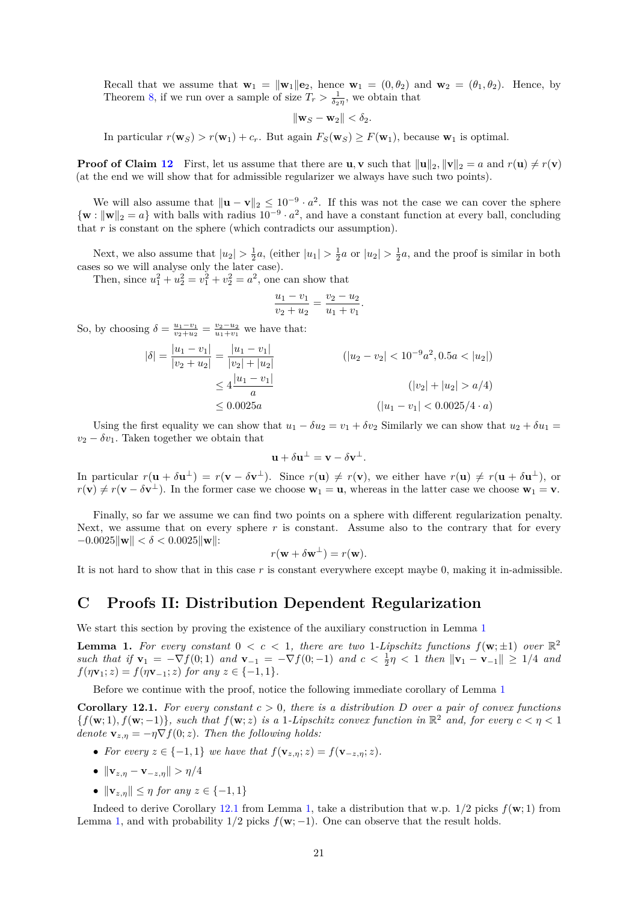Recall that we assume that  $\mathbf{w}_1 = ||\mathbf{w}_1|| \mathbf{e}_2$ , hence  $\mathbf{w}_1 = (0, \theta_2)$  and  $\mathbf{w}_2 = (\theta_1, \theta_2)$ . Hence, by Theorem [8,](#page-13-0) if we run over a sample of size  $T_r > \frac{1}{\delta_2 \eta}$ , we obtain that

$$
\|\mathbf{w}_S - \mathbf{w}_2\| < \delta_2.
$$

In particular  $r(\mathbf{w}_S) > r(\mathbf{w}_1) + c_r$ . But again  $F_S(\mathbf{w}_S) \geq F(\mathbf{w}_1)$ , because  $\mathbf{w}_1$  is optimal.

**Proof of Claim [12](#page-19-0)** First, let us assume that there are **u**, **v** such that  $\|\mathbf{u}\|_2$ ,  $\|\mathbf{v}\|_2 = a$  and  $r(\mathbf{u}) \neq r(\mathbf{v})$ (at the end we will show that for admissible regularizer we always have such two points).

We will also assume that  $\|\mathbf{u} - \mathbf{v}\|_2 \leq 10^{-9} \cdot a^2$ . If this was not the case we can cover the sphere  ${\bf w} : ||{\bf w}||_2 = a$  with balls with radius  $10^{-9} \cdot a^2$ , and have a constant function at every ball, concluding that *r* is constant on the sphere (which contradicts our assumption).

Next, we also assume that  $|u_2| > \frac{1}{2}a$ , (either  $|u_1| > \frac{1}{2}a$  or  $|u_2| > \frac{1}{2}a$ , and the proof is similar in both cases so we will analyse only the later case).

Then, since  $u_1^2 + u_2^2 = v_1^2 + v_2^2 = a^2$ , one can show that

$$
\frac{u_1 - v_1}{v_2 + u_2} = \frac{v_2 - u_2}{u_1 + v_1}.
$$

So, by choosing  $\delta = \frac{u_1 - v_1}{v_2 + u_2} = \frac{v_2 - u_2}{u_1 + v_1}$  we have that:

$$
|\delta| = \frac{|u_1 - v_1|}{|v_2 + u_2|} = \frac{|u_1 - v_1|}{|v_2| + |u_2|}
$$
  
\n
$$
\leq 4 \frac{|u_1 - v_1|}{a}
$$
  
\n
$$
\leq 0.0025a
$$
  
\n
$$
(|u_2 - v_2| < 10^{-9}a^2, 0.5a < |u_2|)
$$
  
\n
$$
(|v_2| + |u_2| > a/4)
$$
  
\n
$$
(|u_1 - v_1| < 0.0025/4 \cdot a)
$$

Using the first equality we can show that  $u_1 - \delta u_2 = v_1 + \delta v_2$  Similarly we can show that  $u_2 + \delta u_1 =$  $v_2 - \delta v_1$ . Taken together we obtain that

$$
\mathbf{u} + \delta \mathbf{u}^{\perp} = \mathbf{v} - \delta \mathbf{v}^{\perp}.
$$

In particular  $r(\mathbf{u} + \delta \mathbf{u}^{\perp}) = r(\mathbf{v} - \delta \mathbf{v}^{\perp})$ . Since  $r(\mathbf{u}) \neq r(\mathbf{v})$ , we either have  $r(\mathbf{u}) \neq r(\mathbf{u} + \delta \mathbf{u}^{\perp})$ , or  $r(\mathbf{v}) \neq r(\mathbf{v} - \delta \mathbf{v}^{\perp})$ . In the former case we choose  $\mathbf{w}_1 = \mathbf{u}$ , whereas in the latter case we choose  $\mathbf{w}_1 = \mathbf{v}$ .

Finally, so far we assume we can find two points on a sphere with different regularization penalty. Next, we assume that on every sphere  $r$  is constant. Assume also to the contrary that for every  $-0.0025$ **kw**k  $< \delta < 0.0025$ **kwill**:

$$
r(\mathbf{w} + \delta \mathbf{w}^{\perp}) = r(\mathbf{w}).
$$

It is not hard to show that in this case *r* is constant everywhere except maybe 0, making it in-admissible.

# **C Proofs II: Distribution Dependent Regularization**

We start this section by proving the existence of the auxiliary construction in Lemma [1](#page-8-0)

**Lemma 1.** For every constant  $0 < c < 1$ , there are two 1-Lipschitz functions  $f(\mathbf{w}; \pm 1)$  over  $\mathbb{R}^2$ *such that if* **v**<sup>1</sup> = −∇*f*(0; 1) *and* **v**<sup>−</sup><sup>1</sup> = −∇*f*(0; −1) *and c <* <sup>1</sup> 2 *η <* 1 *then* k**v**<sup>1</sup> − **v**<sup>−</sup>1k ≥ 1*/*4 *and*  $f(\eta \mathbf{v}_1; z) = f(\eta \mathbf{v}_{-1}; z)$  *for any*  $z \in \{-1, 1\}$ *.* 

Before we continue with the proof, notice the following immediate corollary of Lemma [1](#page-8-0)

<span id="page-20-0"></span>**Corollary 12.1.** For every constant  $c > 0$ , there is a distribution D over a pair of convex functions  ${f(\mathbf{w}; 1), f(\mathbf{w}; -1)}$ , such that  $f(\mathbf{w}; z)$  is a 1*-Lipschitz convex function in*  $\mathbb{R}^2$  and, for every  $c < \eta < 1$ *denote*  $\mathbf{v}_{z,n} = -\eta \nabla f(0; z)$ *. Then the following holds:* 

- *For every*  $z \in \{-1, 1\}$  *we have that*  $f(\mathbf{v}_{z,n}; z) = f(\mathbf{v}_{-z,n}; z)$ *.*
- $\|\mathbf{v}_{z,\eta} \mathbf{v}_{-z,\eta}\| > \eta/4$
- $\|\mathbf{v}_{z,n}\| \leq \eta$  for any  $z \in \{-1, 1\}$

Indeed to derive Corollary [12.1](#page-20-0) from Lemma [1,](#page-8-0) take a distribution that w.p. 1*/*2 picks *f*(**w**; 1) from Lemma [1,](#page-8-0) and with probability  $1/2$  picks  $f(\mathbf{w}; -1)$ . One can observe that the result holds.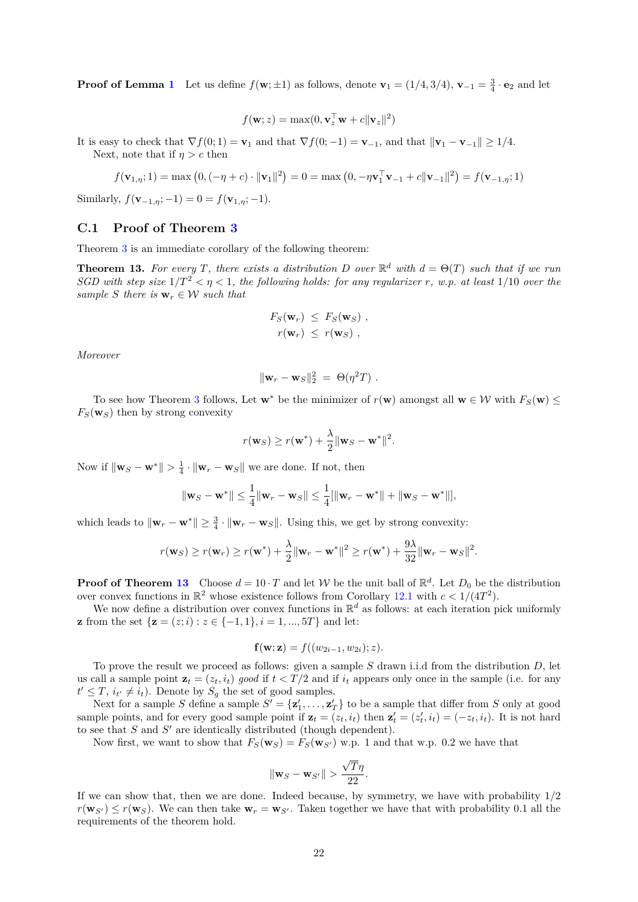**Proof of Lemma [1](#page-8-0)** Let us define  $f(\mathbf{w}; \pm 1)$  as follows, denote  $\mathbf{v}_1 = (1/4, 3/4)$ ,  $\mathbf{v}_{-1} = \frac{3}{4} \cdot \mathbf{e}_2$  and let

$$
f(\mathbf{w}; z) = \max(0, \mathbf{v}_z^{\top} \mathbf{w} + c \|\mathbf{v}_z\|^2)
$$

It is easy to check that  $\nabla f(0; 1) = \mathbf{v}_1$  and that  $\nabla f(0; -1) = \mathbf{v}_{-1}$ , and that  $||\mathbf{v}_1 - \mathbf{v}_{-1}|| \ge 1/4$ . Next, note that if  $\eta > c$  then

$$
f(\mathbf{v}_{1,\eta};1) = \max (0, (-\eta + c) \cdot ||\mathbf{v}_1||^2) = 0 = \max (0, -\eta \mathbf{v}_1^{\top} \mathbf{v}_{-1} + c||\mathbf{v}_{-1}||^2) = f(\mathbf{v}_{-1,\eta};1)
$$

Similarly,  $f(\mathbf{v}_{-1,\eta}; -1) = 0 = f(\mathbf{v}_{1,\eta}; -1)$ .

## **C.1 Proof of Theorem [3](#page-5-1)**

Theorem [3](#page-5-1) is an immediate corollary of the following theorem:

<span id="page-21-0"></span>**Theorem 13.** For every *T*, there exists a distribution *D* over  $\mathbb{R}^d$  with  $d = \Theta(T)$  such that if we run *SGD with step size*  $1/T^2 < \eta < 1$ *, the following holds: for any regularizer r, w.p. at least*  $1/10$  *over the sample S there is*  $\mathbf{w}_r \in \mathcal{W}$  *such that* 

$$
F_S(\mathbf{w}_r) \leq F_S(\mathbf{w}_S),
$$
  

$$
r(\mathbf{w}_r) \leq r(\mathbf{w}_S),
$$

*Moreover*

$$
\|\mathbf{w}_r - \mathbf{w}_S\|_2^2 = \Theta(\eta^2 T) .
$$

To see how Theorem [3](#page-5-1) follows, Let  $\mathbf{w}^*$  be the minimizer of  $r(\mathbf{w})$  amongst all  $\mathbf{w} \in \mathcal{W}$  with  $F_S(\mathbf{w}) \leq$  $F_S(\mathbf{w}_S)$  then by strong convexity

$$
r(\mathbf{w}_S) \ge r(\mathbf{w}^*) + \frac{\lambda}{2} ||\mathbf{w}_S - \mathbf{w}^*||^2.
$$

Now if  $\|\mathbf{w}_S - \mathbf{w}^*\| > \frac{1}{4} \cdot \|\mathbf{w}_r - \mathbf{w}_S\|$  we are done. If not, then

$$
\|\mathbf{w}_S - \mathbf{w}^*\| \le \frac{1}{4} \|\mathbf{w}_r - \mathbf{w}_S\| \le \frac{1}{4} [\|\mathbf{w}_r - \mathbf{w}^*\| + \|\mathbf{w}_S - \mathbf{w}^*\|],
$$

which leads to  $\|\mathbf{w}_r - \mathbf{w}^*\| \ge \frac{3}{4} \cdot \|\mathbf{w}_r - \mathbf{w}_S\|$ . Using this, we get by strong convexity:

$$
r(\mathbf{w}_S) \ge r(\mathbf{w}_r) \ge r(\mathbf{w}^*) + \frac{\lambda}{2} \|\mathbf{w}_r - \mathbf{w}^*\|^2 \ge r(\mathbf{w}^*) + \frac{9\lambda}{32} \|\mathbf{w}_r - \mathbf{w}_S\|^2.
$$

**Proof of Theorem [13](#page-21-0)** Choose  $d = 10 \cdot T$  and let W be the unit ball of  $\mathbb{R}^d$ . Let  $D_0$  be the distribution over convex functions in  $\mathbb{R}^2$  whose existence follows from Corollary [12.1](#page-20-0) with  $c < 1/(4T^2)$ .

We now define a distribution over convex functions in  $\mathbb{R}^d$  as follows: at each iteration pick uniformly **z** from the set  $\{z = (z; i) : z \in \{-1, 1\}, i = 1, ..., 5T\}$  and let:

$$
\mathbf{f}(\mathbf{w};\mathbf{z}) = f((w_{2i-1}, w_{2i}); z).
$$

To prove the result we proceed as follows: given a sample *S* drawn i.i.d from the distribution *D*, let us call a sample point  $\mathbf{z}_t = (z_t, i_t)$  good if  $t < T/2$  and if  $i_t$  appears only once in the sample (i.e. for any  $t' \leq T$ ,  $i_{t'} \neq i_t$ ). Denote by  $S_g$  the set of good samples.

Next for a sample *S* define a sample  $S' = {\mathbf{z}'_1, \dots, \mathbf{z}'_T}$  to be a sample that differ from *S* only at good sample points, and for every good sample point if  $\mathbf{z}_t = (z_t, i_t)$  then  $\mathbf{z}'_t = (z'_t, i_t) = (-z_t, i_t)$ . It is not hard to see that  $S$  and  $S'$  are identically distributed (though dependent).

Now first, we want to show that  $F_S(\mathbf{w}_S) = F_S(\mathbf{w}_{S'})$  w.p. 1 and that w.p. 0.2 we have that

$$
\|\mathbf{w}_S - \mathbf{w}_{S'}\| > \frac{\sqrt{T}\eta}{22}.
$$

If we can show that, then we are done. Indeed because, by symmetry, we have with probability 1*/*2  $r(\mathbf{w}_S) \leq r(\mathbf{w}_S)$ . We can then take  $\mathbf{w}_r = \mathbf{w}_{S}$ . Taken together we have that with probability 0.1 all the requirements of the theorem hold.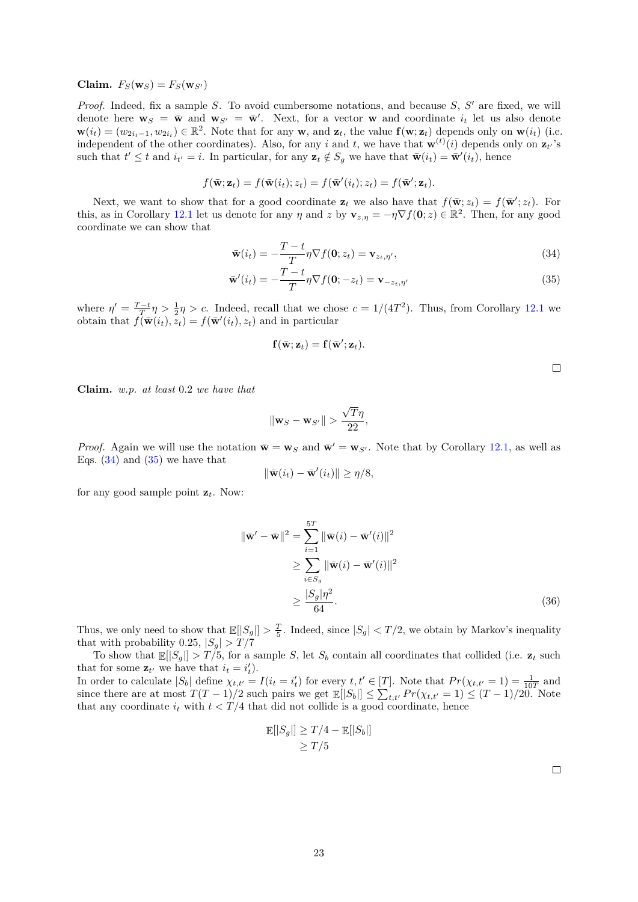**Claim.**  $F_S(\mathbf{w}_S) = F_S(\mathbf{w}_{S'})$ 

*Proof.* Indeed, fix a sample *S*. To avoid cumbersome notations, and because *S*, *S'* are fixed, we will denote here  $\mathbf{w}_S = \bar{\mathbf{w}}$  and  $\mathbf{w}_{S'} = \bar{\mathbf{w}}'$ . Next, for a vector **w** and coordinate  $i_t$  let us also denote  $\mathbf{w}(i_t) = (w_{2i_t-1}, w_{2i_t}) \in \mathbb{R}^2$ . Note that for any **w**, and  $\mathbf{z}_t$ , the value  $\mathbf{f}(\mathbf{w}; \mathbf{z}_t)$  depends only on  $\mathbf{w}(i_t)$  (i.e. independent of the other coordinates). Also, for any *i* and *t*, we have that  $\mathbf{w}^{(t)}(i)$  depends only on  $\mathbf{z}_{t'}$ 's such that  $t' \leq t$  and  $i_{t'} = i$ . In particular, for any  $\mathbf{z}_t \notin S_g$  we have that  $\bar{\mathbf{w}}(i_t) = \bar{\mathbf{w}}'(i_t)$ , hence

$$
f(\bar{\mathbf{w}}; \mathbf{z}_t) = f(\bar{\mathbf{w}}(i_t); z_t) = f(\bar{\mathbf{w}}'(i_t); z_t) = f(\bar{\mathbf{w}}'; \mathbf{z}_t).
$$

Next, we want to show that for a good coordinate  $\mathbf{z}_t$  we also have that  $f(\bar{\mathbf{w}}; z_t) = f(\bar{\mathbf{w}}'; z_t)$ . For this, as in Corollary [12.1](#page-20-0) let us denote for any *η* and *z* by  $\mathbf{v}_{z,\eta} = -\eta \nabla f(\mathbf{0}; z) \in \mathbb{R}^2$ . Then, for any good coordinate we can show that

$$
\bar{\mathbf{w}}(i_t) = -\frac{T-t}{T}\eta \nabla f(\mathbf{0}; z_t) = \mathbf{v}_{z_t, \eta'},
$$
\n(34)

$$
\bar{\mathbf{w}}'(i_t) = -\frac{T-t}{T}\eta \nabla f(\mathbf{0}; -z_t) = \mathbf{v}_{-z_t, \eta'} \tag{35}
$$

where  $\eta' = \frac{T-t}{T} \eta > \frac{1}{2} \eta > c$ . Indeed, recall that we chose  $c = 1/(4T^2)$ . Thus, from Corollary [12.1](#page-20-0) we obtain that  $f(\bar{\mathbf{w}}(i_t), \bar{z}_t) = f(\bar{\mathbf{w}}'(i_t), z_t)$  and in particular

$$
\mathbf{f}(\bar{\mathbf{w}};\mathbf{z}_t) = \mathbf{f}(\bar{\mathbf{w}}';\mathbf{z}_t).
$$

<span id="page-22-1"></span><span id="page-22-0"></span> $\Box$ 

**Claim.** *w.p. at least* 0*.*2 *we have that*

$$
\|\mathbf{w}_S - \mathbf{w}_{S'}\| > \frac{\sqrt{T}\eta}{22},
$$

*Proof.* Again we will use the notation  $\bar{\mathbf{w}} = \mathbf{w}_S$  and  $\bar{\mathbf{w}}' = \mathbf{w}_{S'}$ . Note that by Corollary [12.1,](#page-20-0) as well as Eqs.  $(34)$  and  $(35)$  we have that

$$
\|\bar{\mathbf{w}}(i_t) - \bar{\mathbf{w}}'(i_t)\| \ge \eta/8,
$$

for any good sample point **z***t*. Now:

$$
\|\bar{\mathbf{w}}' - \bar{\mathbf{w}}\|^2 = \sum_{i=1}^{5T} \|\bar{\mathbf{w}}(i) - \bar{\mathbf{w}}'(i)\|^2
$$
  
\n
$$
\geq \sum_{i \in S_g} \|\bar{\mathbf{w}}(i) - \bar{\mathbf{w}}'(i)\|^2
$$
  
\n
$$
\geq \frac{|S_g|\eta^2}{64}.
$$
 (36)

Thus, we only need to show that  $\mathbb{E}[|S_g|] > \frac{T}{5}$ . Indeed, since  $|S_g| < T/2$ , we obtain by Markov's inequality that with probability 0.25,  $|S_q| > T/7$ 

To show that  $\mathbb{E}[[S_q]] > T/5$ , for a sample *S*, let  $S_b$  contain all coordinates that collided (i.e.  $\mathbf{z}_t$  such that for some  $\mathbf{z}_{t'}$  we have that  $i_t = i'_t$ .

In order to calculate  $|S_b|$  define  $\chi_{t,t'} = I(i_t = i'_t)$  for every  $t, t' \in [T]$ . Note that  $Pr(\chi_{t,t'} = 1) = \frac{1}{10T}$  and since there are at most  $T(T-1)/2$  such pairs we get  $\mathbb{E}[|S_b|] \leq \sum_{t,t'} Pr(\chi_{t,t'} = 1) \leq (T-1)/20$ . Note that any coordinate  $i_t$  with  $t < T/4$  that did not collide is a good coordinate, hence

$$
\mathbb{E}[|S_g|] \geq T/4 - \mathbb{E}[|S_b|]
$$
  

$$
\geq T/5
$$

 $\Box$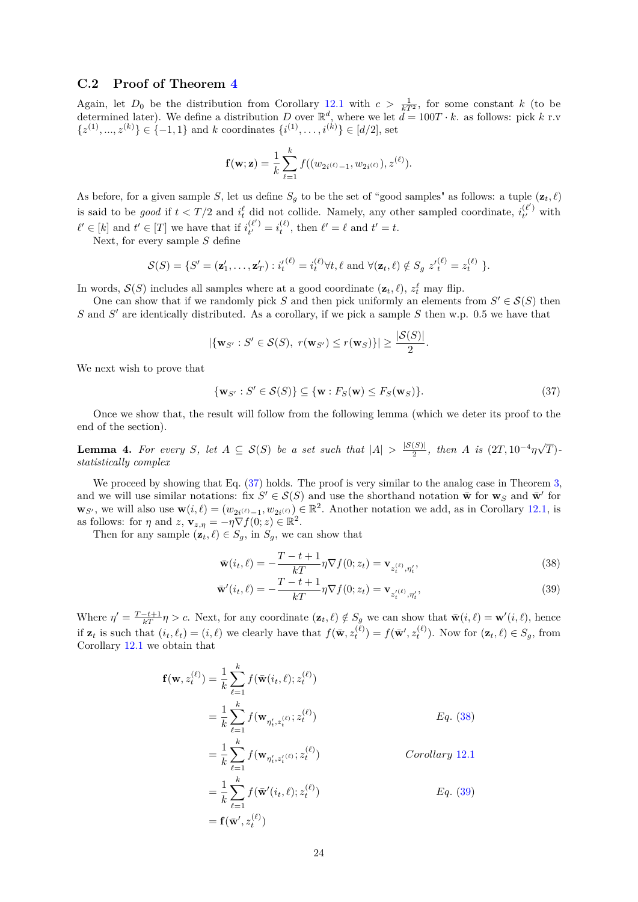### **C.2 Proof of Theorem [4](#page-5-0)**

Again, let  $D_0$  be the distribution from Corollary [12.1](#page-20-0) with  $c > \frac{1}{kT^2}$ , for some constant k (to be determined later). We define a distribution *D* over  $\mathbb{R}^d$ , where we let  $d = 100T \cdot k$ . as follows: pick *k* r.v  ${z<sup>(1)</sup>, ..., z<sup>(k)</sup>} ∈ {-1, 1}$  and *k* coordinates  ${i<sup>(1)</sup>, ..., i<sup>(k)</sup>} ∈ [d/2]$ , set

$$
\mathbf{f}(\mathbf{w}; \mathbf{z}) = \frac{1}{k} \sum_{\ell=1}^{k} f((w_{2i^{(\ell)}-1}, w_{2i^{(\ell)}}), z^{(\ell)}).
$$

As before, for a given sample *S*, let us define  $S_g$  to be the set of "good samples" as follows: a tuple  $(\mathbf{z}_t, \ell)$ is said to be *good* if  $t < T/2$  and  $i_t^{\ell}$  did not collide. Namely, any other sampled coordinate,  $i_t^{(\ell')}$  $t_t^{(\ell)}$  with  $\ell' \in [k]$  and  $t' \in [T]$  we have that if  $i_{t'}^{(\ell')}$  $t_t^{(\ell')} = i_t^{(\ell)}$ , then  $\ell' = \ell$  and  $t' = t$ .

Next, for every sample *S* define

$$
\mathcal{S}(S) = \{S' = (\mathbf{z}'_1, \dots, \mathbf{z}'_T) : i_t^{(\ell)} = i_t^{(\ell)} \forall t, \ell \text{ and } \forall (\mathbf{z}_t, \ell) \notin S_g \ z'^{(\ell)}_t = z_t^{(\ell)} \}.
$$

In words,  $S(S)$  includes all samples where at a good coordinate  $(\mathbf{z}_t, \ell)$ ,  $z_t^{\ell}$  may flip.

One can show that if we randomly pick *S* and then pick uniformly an elements from  $S' \in \mathcal{S}(S)$  then *S* and *S*<sup> $\prime$ </sup> are identically distributed. As a corollary, if we pick a sample *S* then w.p. 0.5 we have that

$$
|\{\mathbf{w}_{S'}: S' \in \mathcal{S}(S), r(\mathbf{w}_{S'}) \le r(\mathbf{w}_S)\}| \ge \frac{|\mathcal{S}(S)|}{2}.
$$

We next wish to prove that

<span id="page-23-0"></span>
$$
\{\mathbf w_{S'}: S' \in \mathcal S(S)\} \subseteq \{\mathbf w: F_S(\mathbf w) \le F_S(\mathbf w_S)\}.
$$
\n(37)

Once we show that, the result will follow from the following lemma (which we deter its proof to the end of the section).

<span id="page-23-3"></span>**Lemma 4.** For every *S*, let  $A \subseteq S(S)$  be a set such that  $|A| > \frac{|S(S)|}{2}$  $\frac{(S)|}{2}$ , then *A* is  $(2T, 10^{-4}\eta\sqrt{2})$ *T*) *statistically complex*

We proceed by showing that Eq.  $(37)$  holds. The proof is very similar to the analog case in Theorem [3,](#page-5-1) and we will use similar notations: fix  $S' \in \mathcal{S}(S)$  and use the shorthand notation  $\bar{\mathbf{w}}$  for  $\mathbf{w}_S$  and  $\bar{\mathbf{w}}'$  for **w**<sub>*S*'</sub>, we will also use **w**(*i*,  $\ell$ ) = (*w*<sub>2*i*</sub>( $\ell$ )<sub></sub> i ∈ R<sup>2</sup>. Another notation we add, as in Corollary [12.1,](#page-20-0) is as follows: for  $\eta$  and  $z$ ,  $\mathbf{v}_{z,\eta} = -\eta \nabla f(0; z) \in \mathbb{R}^2$ .

Then for any sample  $(\mathbf{z}_t, \ell) \in S_q$ , in  $S_q$ , we can show that

<span id="page-23-2"></span><span id="page-23-1"></span>
$$
\bar{\mathbf{w}}(i_t, \ell) = -\frac{T - t + 1}{kT} \eta \nabla f(0; z_t) = \mathbf{v}_{z_t^{(\ell)}, \eta'_t},\tag{38}
$$

$$
\bar{\mathbf{w}}'(i_t, \ell) = -\frac{T - t + 1}{kT} \eta \nabla f(0; z_t) = \mathbf{v}_{z_t^{(\ell)}, \eta_t'},
$$
\n(39)

Where  $\eta' = \frac{T-t+1}{kT}\eta > c$ . Next, for any coordinate  $(\mathbf{z}_t, \ell) \notin S_g$  we can show that  $\bar{\mathbf{w}}(i, \ell) = \mathbf{w}'(i, \ell)$ , hence if  $\mathbf{z}_t$  is such that  $(i_t, \ell_t) = (i, \ell)$  we clearly have that  $f(\bar{\mathbf{w}}, z_t^{(\ell)}) = f(\bar{\mathbf{w}}', z_t^{(\ell)})$ . Now for  $(\mathbf{z}_t, \ell) \in S_g$ , from Corollary [12.1](#page-20-0) we obtain that

$$
\mathbf{f}(\mathbf{w}, z_t^{(\ell)}) = \frac{1}{k} \sum_{\ell=1}^k f(\bar{\mathbf{w}}(i_t, \ell); z_t^{(\ell)})
$$
  
\n
$$
= \frac{1}{k} \sum_{\ell=1}^k f(\mathbf{w}_{\eta'_t, z_t^{(\ell)}}; z_t^{(\ell)})
$$
  
\n
$$
= \frac{1}{k} \sum_{\ell=1}^k f(\mathbf{w}_{\eta'_t, z'_t^{(\ell)}}; z_t^{(\ell)})
$$
  
\n
$$
= \frac{1}{k} \sum_{\ell=1}^k f(\bar{\mathbf{w}}'(i_t, \ell); z_t^{(\ell)})
$$
  
\n
$$
= \mathbf{f}(\bar{\mathbf{w}}', z_t^{(\ell)})
$$
  
\n
$$
= \mathbf{f}(\bar{\mathbf{w}}', z_t^{(\ell)})
$$
  
\n
$$
Eq. (39)
$$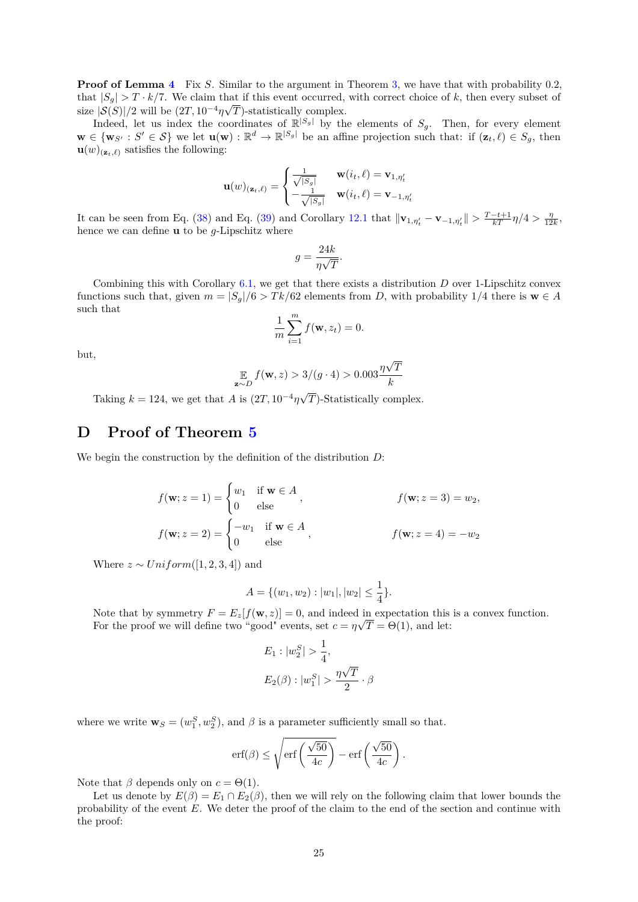**Proof of Lemma [4](#page-23-3)** Fix *S*. Similar to the argument in Theorem [3,](#page-5-1) we have that with probability 0*.*2, that  $|S_g| > T \cdot k/7$ . We claim that if this event occurred, with correct choice of *k*, then every subset of size  $|S(S)|/2$  will be  $(2T, 10^{-4}\eta\sqrt{S})$ *T*)-statistically complex.

Indeed, let us index the coordinates of  $\mathbb{R}^{|S_g|}$  by the elements of  $S_g$ . Then, for every element  $\mathbf{w} \in {\mathbf{w}}_{S'} : S' \in \mathcal{S}$  we let  $\mathbf{u}(\mathbf{w}) : \mathbb{R}^d \to \mathbb{R}^{|S_g|}$  be an affine projection such that: if  $(\mathbf{z}_t, \ell) \in S_g$ , then  $\mathbf{u}(w)_{(\mathbf{z}_t,\ell)}$  satisfies the following:

$$
\mathbf{u}(w)_{(\mathbf{z}_t,\ell)} = \begin{cases} \frac{1}{\sqrt{|S_g|}} & \mathbf{w}(i_t,\ell) = \mathbf{v}_{1,\eta'_t} \\ -\frac{1}{\sqrt{|S_g|}} & \mathbf{w}(i_t,\ell) = \mathbf{v}_{-1,\eta'_t} \end{cases}
$$

It can be seen from Eq. [\(38\)](#page-23-1) and Eq. [\(39\)](#page-23-2) and Corollary [12.1](#page-20-0) that  $\|\mathbf{v}_{1,\eta'_{t}} - \mathbf{v}_{-1,\eta'_{t}}\| > \frac{T-t+1}{kT}\eta/4 > \frac{\eta}{12k}$ , hence we can define **u** to be *g*-Lipschitz where

$$
g = \frac{24k}{\eta\sqrt{T}}.
$$

Combining this with Corollary [6.1,](#page-11-4) we get that there exists a distribution *D* over 1-Lipschitz convex functions such that, given  $m = |S_g|/6 > T k/62$  elements from *D*, with probability 1/4 there is  $\mathbf{w} \in A$ such that

$$
\frac{1}{m}\sum_{i=1}^{m}f(\mathbf{w},z_i)=0.
$$

but,

$$
\mathop{\mathbb{E}}_{\mathbf{z} \sim D} f(\mathbf{w}, z) > 3/(g \cdot 4) > 0.003 \frac{\eta \sqrt{T}}{k}
$$

Taking  $k = 124$ , we get that *A* is  $(2T, 10^{-4}\eta\sqrt{3})$ *T*)-Statistically complex.

# **D Proof of Theorem [5](#page-6-2)**

We begin the construction by the definition of the distribution *D*:

$$
f(\mathbf{w}; z = 1) = \begin{cases} w_1 & \text{if } \mathbf{w} \in A \\ 0 & \text{else} \end{cases}, \qquad f(\mathbf{w}; z = 3) = w_2,
$$

$$
f(\mathbf{w}; z = 2) = \begin{cases} -w_1 & \text{if } \mathbf{w} \in A \\ 0 & \text{else} \end{cases}, \qquad f(\mathbf{w}; z = 4) = -w_2
$$

Where  $z \sim Uniform([1, 2, 3, 4])$  and

$$
A = \{ (w_1, w_2) : |w_1|, |w_2| \le \frac{1}{4} \}.
$$

Note that by symmetry  $F = E_z[f(\mathbf{w}, z)] = 0$ , and indeed in expectation this is a convex function. For the proof we will define two "good" events, set  $c = \eta \sqrt{T} = \Theta(1)$ , and let:

$$
E_1: |w_2^S| > \frac{1}{4},
$$
  

$$
E_2(\beta): |w_1^S| > \frac{\eta\sqrt{T}}{2} \cdot \beta
$$

where we write  $\mathbf{w}_S = (w_1^S, w_2^S)$ , and  $\beta$  is a parameter sufficiently small so that.

$$
\mathrm{erf}(\beta) \le \sqrt{\mathrm{erf}\left(\frac{\sqrt{50}}{4c}\right)} - \mathrm{erf}\left(\frac{\sqrt{50}}{4c}\right).
$$

Note that  $\beta$  depends only on  $c = \Theta(1)$ .

<span id="page-24-0"></span>Let us denote by  $E(\beta) = E_1 \cap E_2(\beta)$ , then we will rely on the following claim that lower bounds the probability of the event *E*. We deter the proof of the claim to the end of the section and continue with the proof: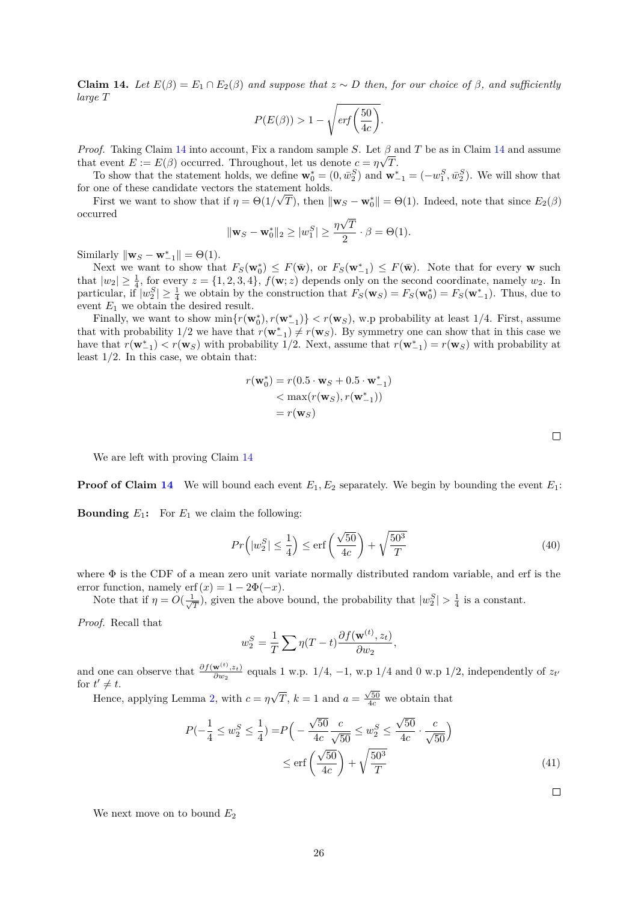**Claim 14.** *Let*  $E(\beta) = E_1 \cap E_2(\beta)$  *and suppose that*  $z \sim D$  *then, for our choice of*  $\beta$ *, and sufficiently large T*

$$
P(E(\beta)) > 1 - \sqrt{erf\left(\frac{50}{4c}\right)}.
$$

*Proof.* Taking Claim [14](#page-24-0) into account, Fix a random sample *S*. Let  $\beta$  and *T* be as in Claim 14 and assume that event  $E := E(\beta)$  occurred. Throughout, let us denote  $c = \eta \sqrt{T}$ .

To show that the statement holds, we define  $\mathbf{w}_0^* = (0, \bar{w}_2^S)$  and  $\mathbf{w}_{-1}^* = (-w_1^S, \bar{w}_2^S)$ . We will show that for one of these candidate vectors the statement holds.

First we want to show that if  $\eta = \Theta(1/\sqrt{T})$ , then  $\|\mathbf{w}_S - \mathbf{w}_0^*\| = \Theta(1)$ . Indeed, note that since  $E_2(\beta)$ occurred √

$$
\|\mathbf{w}_S - \mathbf{w}_0^*\|_2 \ge |w_1^S| \ge \frac{\eta\sqrt{T}}{2} \cdot \beta = \Theta(1).
$$

Similarly  $\|\mathbf{w}_S - \mathbf{w}_{-1}^*\| = \Theta(1)$ .

Next we want to show that  $F_S(\mathbf{w}_0^*) \leq F(\bar{\mathbf{w}})$ , or  $F_S(\mathbf{w}_{-1}^*) \leq F(\bar{\mathbf{w}})$ . Note that for every **w** such that  $|w_2| \geq \frac{1}{4}$ , for every  $z = \{1, 2, 3, 4\}$ ,  $f(\mathbf{w}; z)$  depends only on the second coordinate, namely  $w_2$ . In particular, if  $|w_2^S| \geq \frac{1}{4}$  we obtain by the construction that  $F_S(\mathbf{w}_S) = F_S(\mathbf{w}_0^*) = F_S(\mathbf{w}_{-1}^*)$ . Thus, due to event *E*<sup>1</sup> we obtain the desired result.

Finally, we want to show  $\min\{r(\mathbf{w}_0^*), r(\mathbf{w}_{-1}^*)\} < r(\mathbf{w}_S)$ , w.p probability at least 1/4. First, assume that with probability 1/2 we have that  $r(\mathbf{w}_{-1}^*) \neq r(\mathbf{w}_S)$ . By symmetry one can show that in this case we have that  $r(\mathbf{w}_{-1}^*) < r(\mathbf{w}_S)$  with probability 1/2. Next, assume that  $r(\mathbf{w}_{-1}^*) = r(\mathbf{w}_S)$  with probability at least 1*/*2. In this case, we obtain that:

$$
r(\mathbf{w}_0^*) = r(0.5 \cdot \mathbf{w}_S + 0.5 \cdot \mathbf{w}_{-1}^*)
$$
  

$$
< \max(r(\mathbf{w}_S), r(\mathbf{w}_{-1}^*))
$$
  

$$
= r(\mathbf{w}_S)
$$

We are left with proving Claim [14](#page-24-0)

**Proof of Claim [14](#page-24-0)** We will bound each event  $E_1$ ,  $E_2$  separately. We begin by bounding the event  $E_1$ :

**Bounding**  $E_1$ : For  $E_1$  we claim the following:

<span id="page-25-0"></span>
$$
Pr\left(|w_2^S| \le \frac{1}{4}\right) \le \text{erf}\left(\frac{\sqrt{50}}{4c}\right) + \sqrt{\frac{50^3}{T}}\tag{40}
$$

where  $\Phi$  is the CDF of a mean zero unit variate normally distributed random variable, and erf is the error function, namely erf $(x) = 1 - 2\Phi(-x)$ .

Note that if  $\eta = O(\frac{1}{\sqrt{\epsilon}})$  $\frac{1}{T}$ ), given the above bound, the probability that  $|w_2^S| > \frac{1}{4}$  is a constant.

*Proof.* Recall that

$$
w_2^S = \frac{1}{T} \sum \eta(T - t) \frac{\partial f(\mathbf{w}^{(t)}, z_t)}{\partial w_2},
$$

and one can observe that  $\frac{\partial f(\mathbf{w}^{(t)},z_t)}{\partial w_s}$  $\frac{\mathbf{w}^{(1)}\cdot\mathbf{z}_{t}}{\partial w_{2}}$  equals 1 w.p. 1/4, -1, w.p 1/4 and 0 w.p 1/2, independently of  $z_{t'}$ for  $t' \neq t$ . √

Hence, applying Lemma [2,](#page-12-4) with  $c = \eta$  $\overline{T}$ ,  $k = 1$  and  $a = \frac{\sqrt{50}}{4c}$  we obtain that

$$
P(-\frac{1}{4} \le w_2^S \le \frac{1}{4}) = P\left(-\frac{\sqrt{50}}{4c} \frac{c}{\sqrt{50}} \le w_2^S \le \frac{\sqrt{50}}{4c} \cdot \frac{c}{\sqrt{50}}\right) \le \text{erf}\left(\frac{\sqrt{50}}{4c}\right) + \sqrt{\frac{50^3}{T}}
$$
\n(41)

 $\Box$ 

We next move on to bound  $E_2$ 

 $\Box$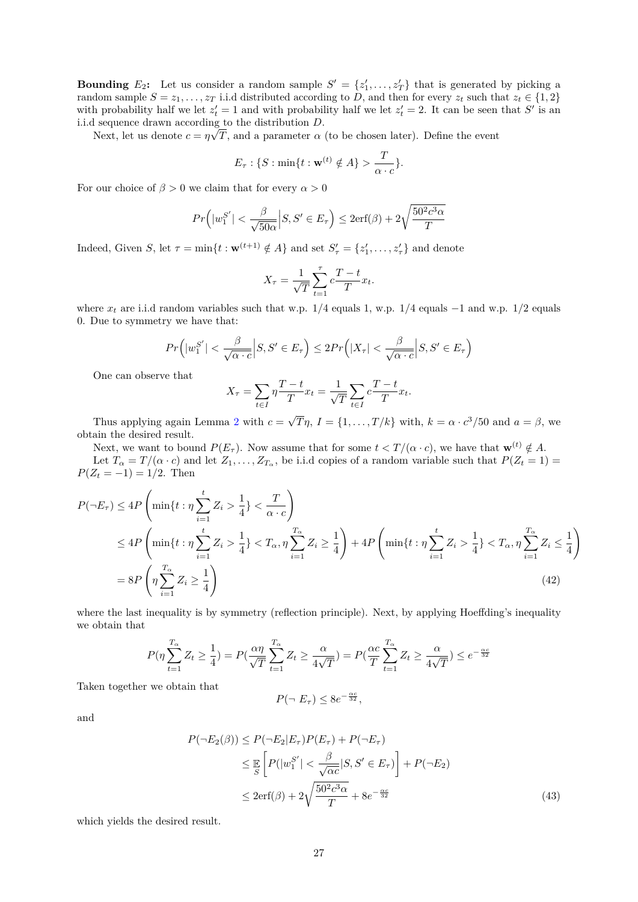<span id="page-26-0"></span>**Bounding**  $E_2$ : Let us consider a random sample  $S' = \{z'_1, \ldots, z'_T\}$  that is generated by picking a random sample  $S = z_1, \ldots, z_T$  i.i.d distributed according to *D*, and then for every  $z_t$  such that  $z_t \in \{1, 2\}$ with probability half we let  $z'_t = 1$  and with probability half we let  $z'_t = 2$ . It can be seen that S' is an i.i.d sequence drawn according to the distribution  $D$ .

Next, let us denote  $c = \eta \sqrt{T}$ , and a parameter  $\alpha$  (to be chosen later). Define the event

$$
E_{\tau}: \{S: \min\{t: \mathbf{w}^{(t)} \notin A\} > \frac{T}{\alpha \cdot c}\}.
$$

For our choice of  $\beta > 0$  we claim that for every  $\alpha > 0$ 

$$
Pr(|w_1^{S'}| < \frac{\beta}{\sqrt{50\alpha}} | S, S' \in E_\tau) \le 2\mathrm{erf}(\beta) + 2\sqrt{\frac{50^2 c^3 \alpha}{T}}
$$

Indeed, Given *S*, let  $\tau = \min\{t : \mathbf{w}^{(t+1)} \notin A\}$  and set  $S'_{\tau} = \{z'_{1}, \ldots, z'_{\tau}\}\$ and denote

$$
X_{\tau} = \frac{1}{\sqrt{T}} \sum_{t=1}^{\tau} c \frac{T - t}{T} x_t.
$$

where  $x_t$  are i.i.d random variables such that w.p. 1/4 equals 1, w.p. 1/4 equals  $-1$  and w.p. 1/2 equals 0. Due to symmetry we have that:

$$
Pr(|w_1^{S'}| < \frac{\beta}{\sqrt{\alpha \cdot c}} | S, S' \in E_{\tau}) \le 2Pr(|X_{\tau}| < \frac{\beta}{\sqrt{\alpha \cdot c}} | S, S' \in E_{\tau})
$$

One can observe that

$$
X_{\tau} = \sum_{t \in I} \eta \frac{T - t}{T} x_t = \frac{1}{\sqrt{T}} \sum_{t \in I} c \frac{T - t}{T} x_t.
$$

Thus applying again Lemma  $2$  with  $c =$  $\overline{T}\eta$ ,  $I = \{1, \ldots, T/k\}$  with,  $k = \alpha \cdot c^3/50$  and  $a = \beta$ , we obtain the desired result.

Next, we want to bound  $P(E_{\tau})$ . Now assume that for some  $t < T/(\alpha \cdot c)$ , we have that  $\mathbf{w}^{(t)} \notin A$ . Let  $T_{\alpha} = T/(\alpha \cdot c)$  and let  $Z_1, \ldots, Z_{T_{\alpha}}$ , be i.i.d copies of a random variable such that  $P(Z_t = 1)$  $P(Z_t = -1) = 1/2$ . Then

$$
P(\neg E_{\tau}) \le 4P\left(\min\{t : \eta \sum_{i=1}^{t} Z_i > \frac{1}{4}\} < \frac{T}{\alpha \cdot c}\right)
$$
  
\n
$$
\le 4P\left(\min\{t : \eta \sum_{i=1}^{t} Z_i > \frac{1}{4}\} < T_{\alpha}, \eta \sum_{i=1}^{T_{\alpha}} Z_i \ge \frac{1}{4}\right) + 4P\left(\min\{t : \eta \sum_{i=1}^{t} Z_i > \frac{1}{4}\} < T_{\alpha}, \eta \sum_{i=1}^{T_{\alpha}} Z_i \le \frac{1}{4}\right)
$$
  
\n
$$
= 8P\left(\eta \sum_{i=1}^{T_{\alpha}} Z_i \ge \frac{1}{4}\right)
$$
\n(42)

where the last inequality is by symmetry (reflection principle). Next, by applying Hoeffding's inequality we obtain that

$$
P(\eta \sum_{t=1}^{T_{\alpha}} Z_t \ge \frac{1}{4}) = P(\frac{\alpha \eta}{\sqrt{T}} \sum_{t=1}^{T_{\alpha}} Z_t \ge \frac{\alpha}{4\sqrt{T}}) = P(\frac{\alpha c}{T} \sum_{t=1}^{T_{\alpha}} Z_t \ge \frac{\alpha}{4\sqrt{T}}) \le e^{-\frac{\alpha c}{32}}
$$

Taken together we obtain that

$$
P(\neg E_{\tau}) \leq 8e^{-\frac{\alpha c}{32}},
$$

and

$$
P(\neg E_2(\beta)) \le P(\neg E_2 | E_\tau) P(E_\tau) + P(\neg E_\tau)
$$
  
\n
$$
\le \mathbb{E} \left[ P(|w_1^{S'}| < \frac{\beta}{\sqrt{\alpha c}} | S, S' \in E_\tau) \right] + P(\neg E_2)
$$
  
\n
$$
\le 2 \text{erf}(\beta) + 2\sqrt{\frac{50^2 c^3 \alpha}{T}} + 8e^{-\frac{\alpha c}{32}} \tag{43}
$$

which yields the desired result.